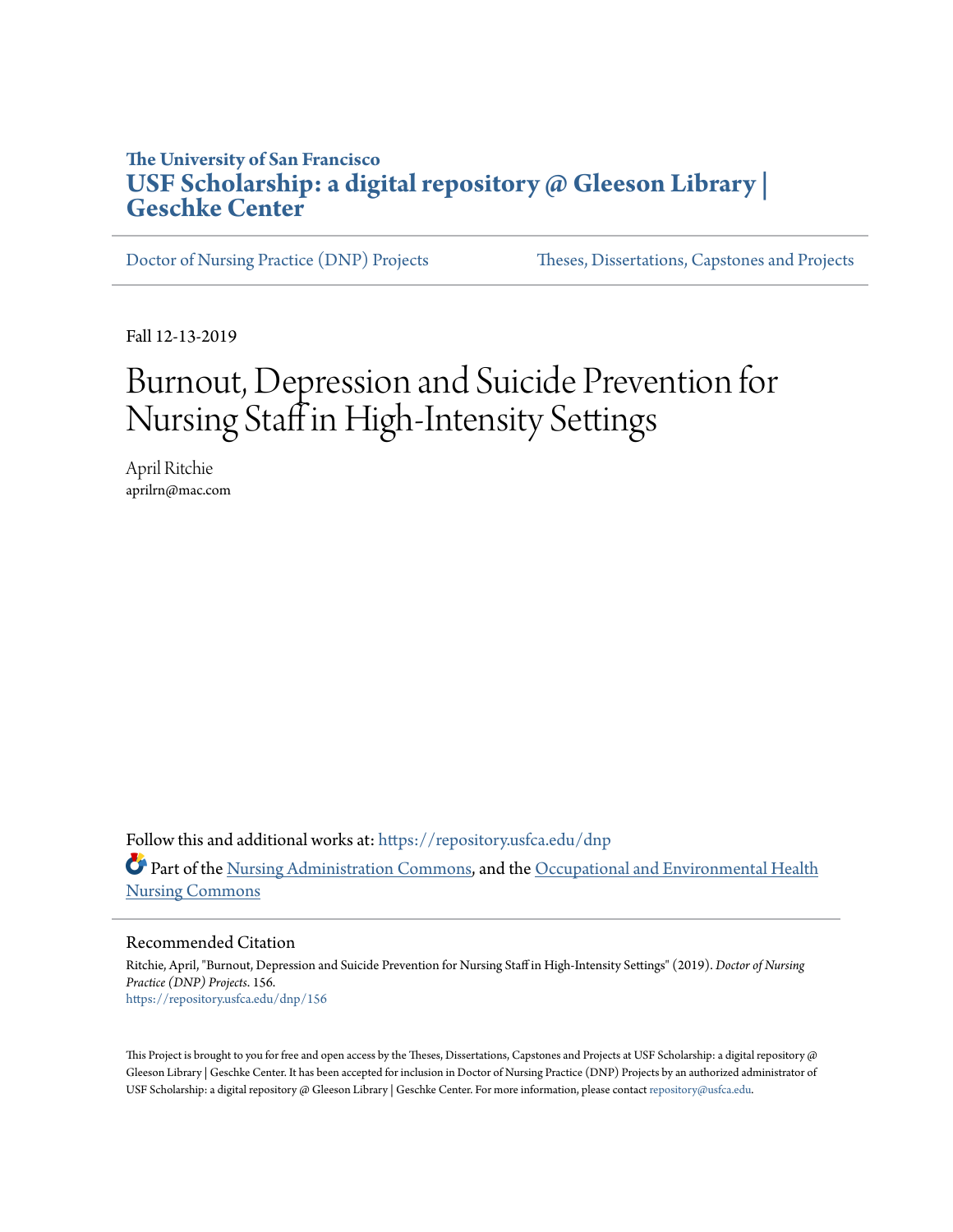### **The University of San Francisco [USF Scholarship: a digital repository @ Gleeson Library |](https://repository.usfca.edu?utm_source=repository.usfca.edu%2Fdnp%2F156&utm_medium=PDF&utm_campaign=PDFCoverPages) [Geschke Center](https://repository.usfca.edu?utm_source=repository.usfca.edu%2Fdnp%2F156&utm_medium=PDF&utm_campaign=PDFCoverPages)**

[Doctor of Nursing Practice \(DNP\) Projects](https://repository.usfca.edu/dnp?utm_source=repository.usfca.edu%2Fdnp%2F156&utm_medium=PDF&utm_campaign=PDFCoverPages) [Theses, Dissertations, Capstones and Projects](https://repository.usfca.edu/etd?utm_source=repository.usfca.edu%2Fdnp%2F156&utm_medium=PDF&utm_campaign=PDFCoverPages)

Fall 12-13-2019

# Burnout, Depression and Suicide Prevention for Nursing Staff in High-Intensity Settings

April Ritchie aprilrn@mac.com

Follow this and additional works at: [https://repository.usfca.edu/dnp](https://repository.usfca.edu/dnp?utm_source=repository.usfca.edu%2Fdnp%2F156&utm_medium=PDF&utm_campaign=PDFCoverPages) Part of the [Nursing Administration Commons](http://network.bepress.com/hgg/discipline/719?utm_source=repository.usfca.edu%2Fdnp%2F156&utm_medium=PDF&utm_campaign=PDFCoverPages), and the [Occupational and Environmental Health](http://network.bepress.com/hgg/discipline/728?utm_source=repository.usfca.edu%2Fdnp%2F156&utm_medium=PDF&utm_campaign=PDFCoverPages) [Nursing Commons](http://network.bepress.com/hgg/discipline/728?utm_source=repository.usfca.edu%2Fdnp%2F156&utm_medium=PDF&utm_campaign=PDFCoverPages)

Recommended Citation

Ritchie, April, "Burnout, Depression and Suicide Prevention for Nursing Staff in High-Intensity Settings" (2019). *Doctor of Nursing Practice (DNP) Projects*. 156. [https://repository.usfca.edu/dnp/156](https://repository.usfca.edu/dnp/156?utm_source=repository.usfca.edu%2Fdnp%2F156&utm_medium=PDF&utm_campaign=PDFCoverPages)

This Project is brought to you for free and open access by the Theses, Dissertations, Capstones and Projects at USF Scholarship: a digital repository @ Gleeson Library | Geschke Center. It has been accepted for inclusion in Doctor of Nursing Practice (DNP) Projects by an authorized administrator of USF Scholarship: a digital repository @ Gleeson Library | Geschke Center. For more information, please contact [repository@usfca.edu.](mailto:repository@usfca.edu)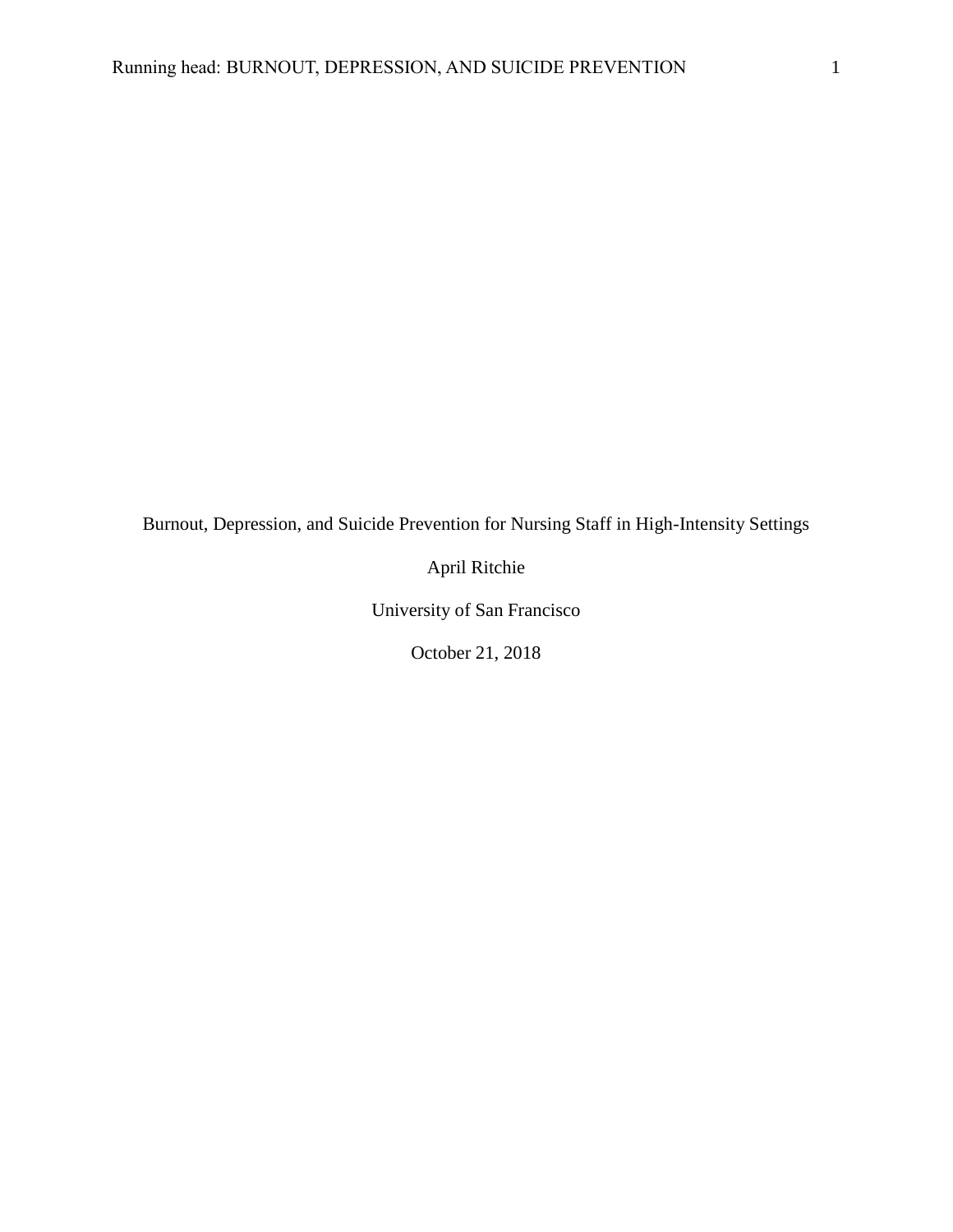Burnout, Depression, and Suicide Prevention for Nursing Staff in High-Intensity Settings

April Ritchie

University of San Francisco

October 21, 2018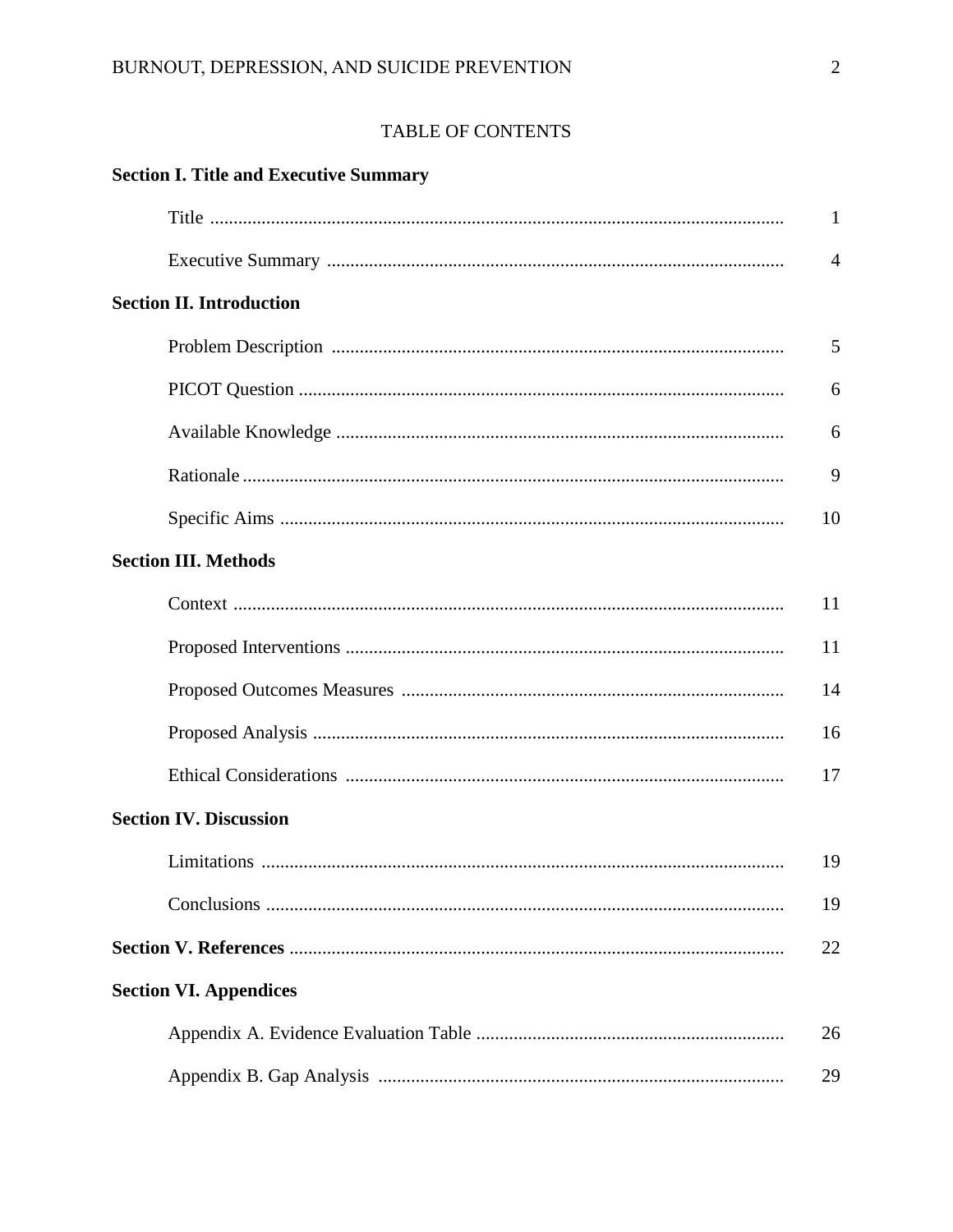### TABLE OF CONTENTS

| <b>Section I. Title and Executive Summary</b> |                |
|-----------------------------------------------|----------------|
|                                               | $\mathbf{1}$   |
|                                               | $\overline{4}$ |
| <b>Section II. Introduction</b>               |                |
|                                               | 5              |
|                                               | 6              |
|                                               | 6              |
|                                               | 9              |
|                                               | 10             |
| <b>Section III. Methods</b>                   |                |
|                                               | 11             |
|                                               | 11             |
|                                               | 14             |
|                                               | 16             |
|                                               | 17             |
| <b>Section IV. Discussion</b>                 |                |
| $\mathbf{r}$ . The set of $\mathbf{r}$        | 19             |
|                                               | 19             |
|                                               | 22             |
| <b>Section VI. Appendices</b>                 |                |
|                                               | 26             |
|                                               | 29             |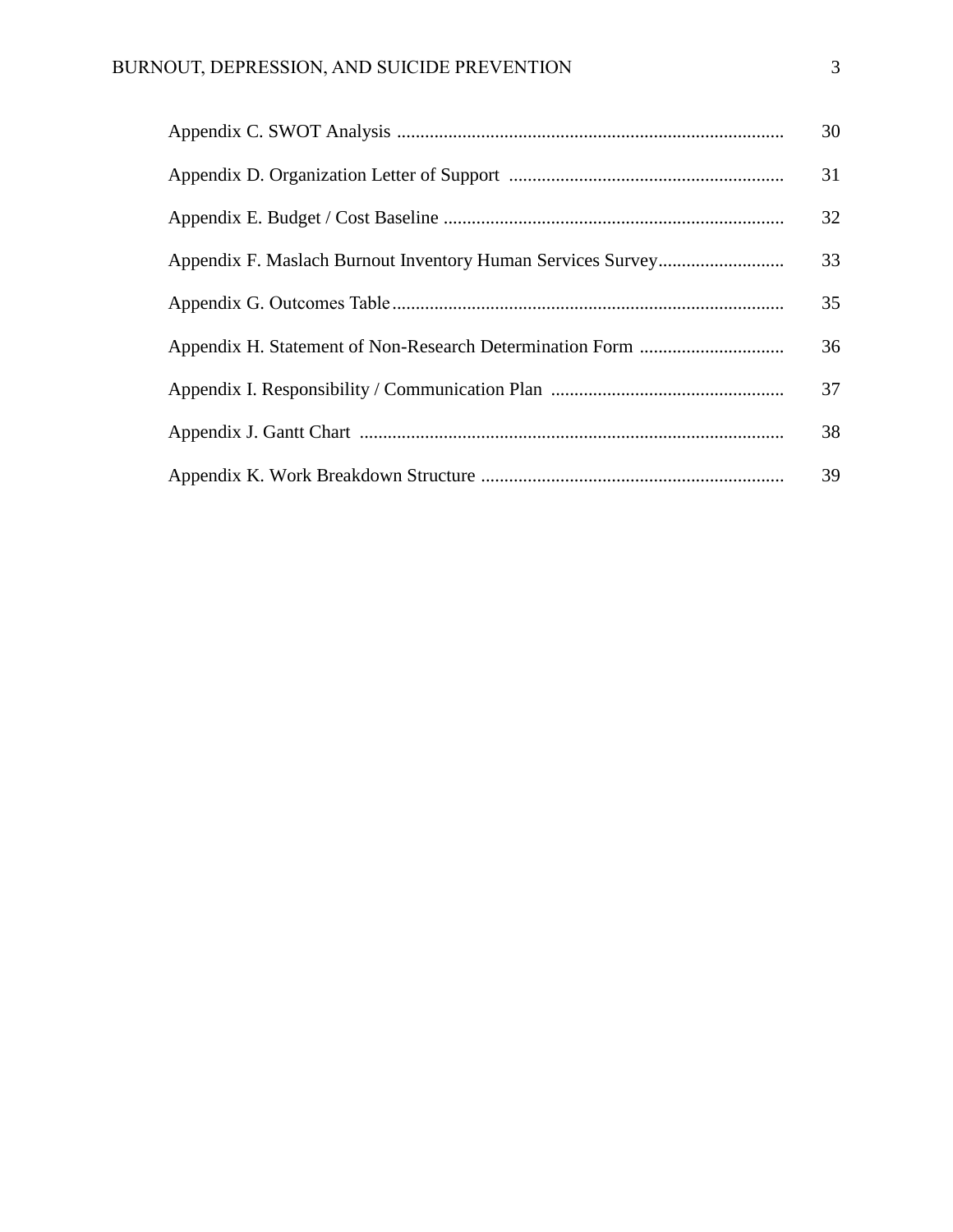| 30 |
|----|
| 31 |
| 32 |
| 33 |
| 35 |
| 36 |
| 37 |
| 38 |
| 39 |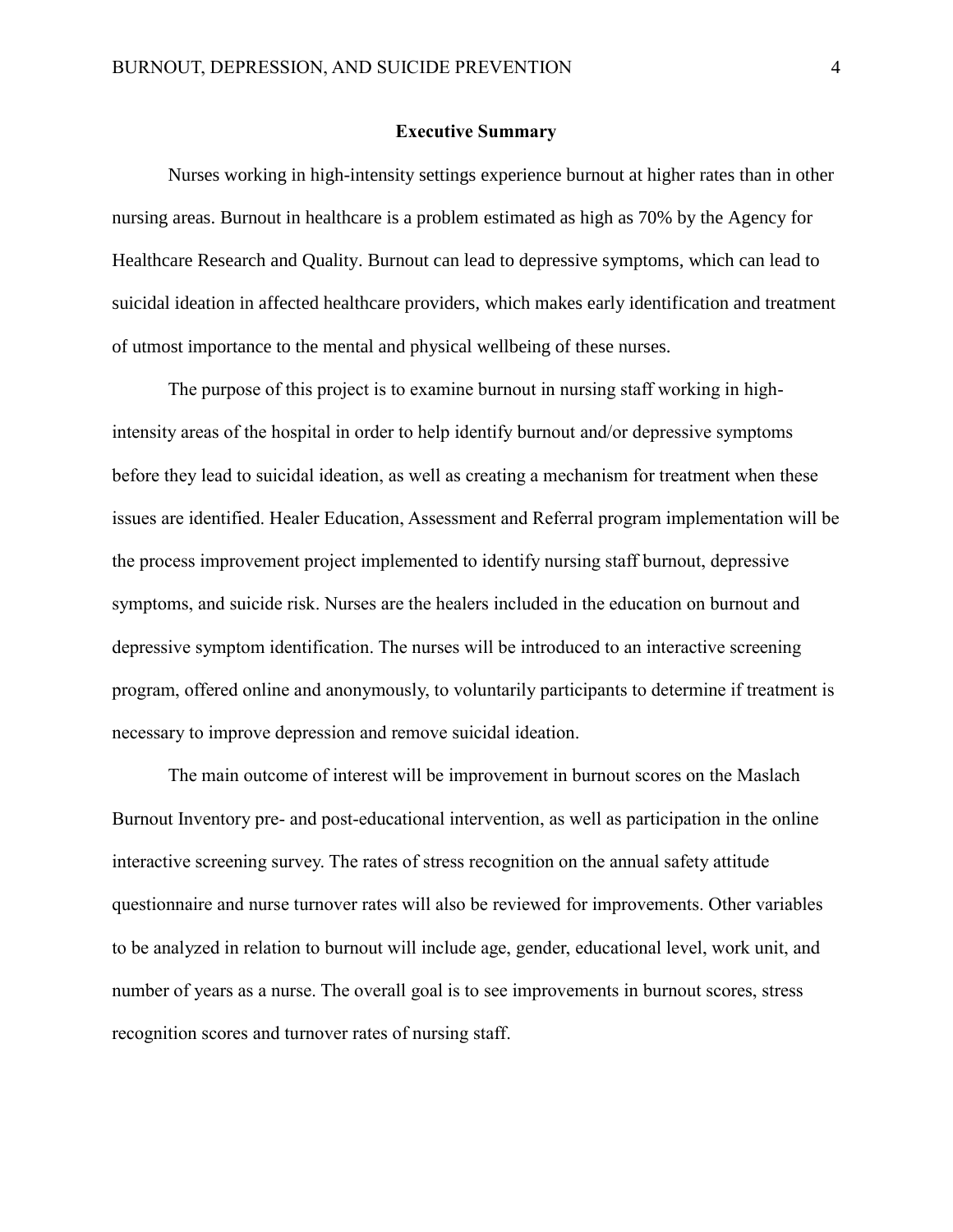#### **Executive Summary**

Nurses working in high-intensity settings experience burnout at higher rates than in other nursing areas. Burnout in healthcare is a problem estimated as high as 70% by the Agency for Healthcare Research and Quality. Burnout can lead to depressive symptoms, which can lead to suicidal ideation in affected healthcare providers, which makes early identification and treatment of utmost importance to the mental and physical wellbeing of these nurses.

The purpose of this project is to examine burnout in nursing staff working in highintensity areas of the hospital in order to help identify burnout and/or depressive symptoms before they lead to suicidal ideation, as well as creating a mechanism for treatment when these issues are identified. Healer Education, Assessment and Referral program implementation will be the process improvement project implemented to identify nursing staff burnout, depressive symptoms, and suicide risk. Nurses are the healers included in the education on burnout and depressive symptom identification. The nurses will be introduced to an interactive screening program, offered online and anonymously, to voluntarily participants to determine if treatment is necessary to improve depression and remove suicidal ideation.

The main outcome of interest will be improvement in burnout scores on the Maslach Burnout Inventory pre- and post-educational intervention, as well as participation in the online interactive screening survey. The rates of stress recognition on the annual safety attitude questionnaire and nurse turnover rates will also be reviewed for improvements. Other variables to be analyzed in relation to burnout will include age, gender, educational level, work unit, and number of years as a nurse. The overall goal is to see improvements in burnout scores, stress recognition scores and turnover rates of nursing staff.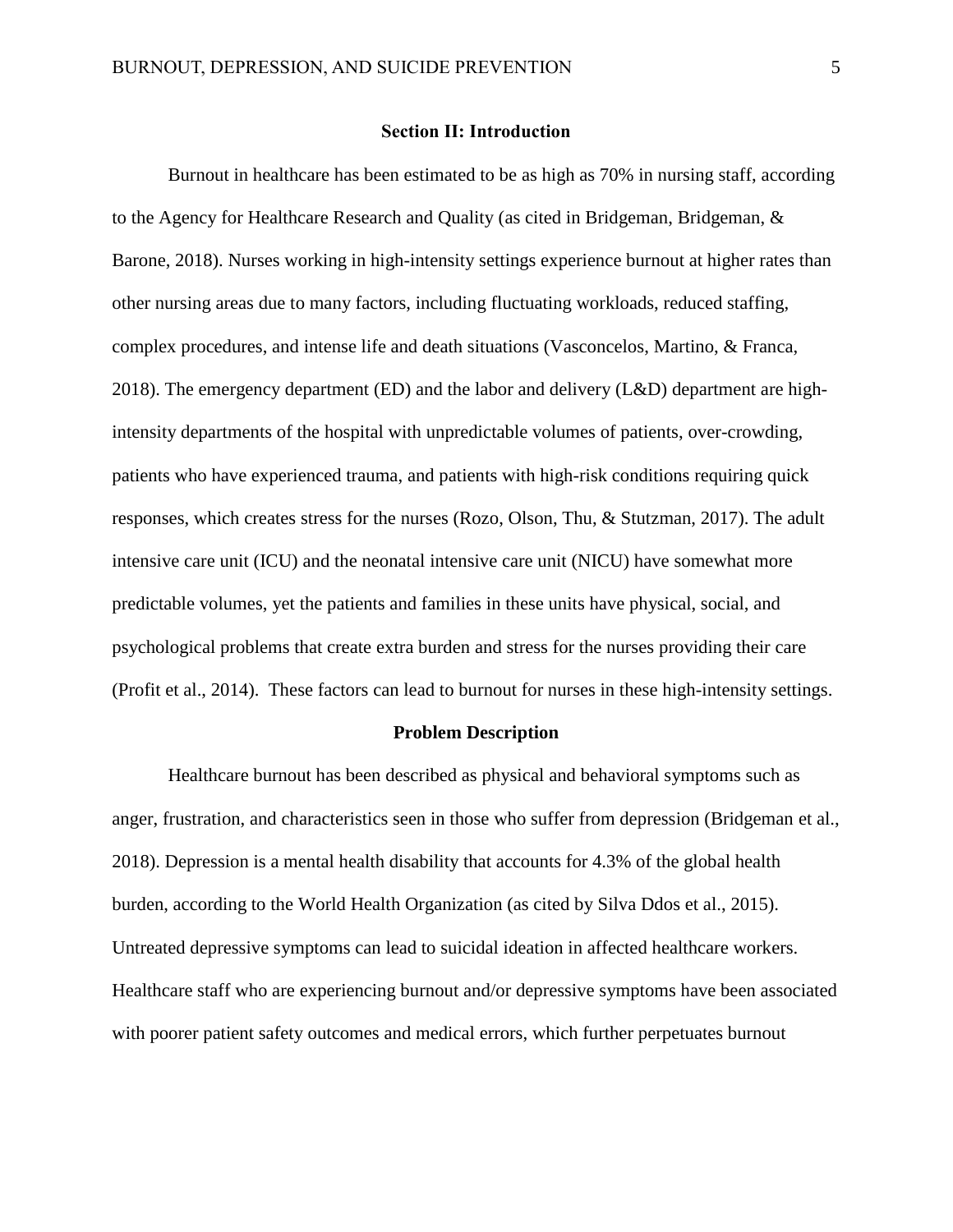#### **Section II: Introduction**

Burnout in healthcare has been estimated to be as high as 70% in nursing staff, according to the Agency for Healthcare Research and Quality (as cited in Bridgeman, Bridgeman, & Barone, 2018). Nurses working in high-intensity settings experience burnout at higher rates than other nursing areas due to many factors, including fluctuating workloads, reduced staffing, complex procedures, and intense life and death situations (Vasconcelos, Martino, & Franca, 2018). The emergency department (ED) and the labor and delivery (L&D) department are highintensity departments of the hospital with unpredictable volumes of patients, over-crowding, patients who have experienced trauma, and patients with high-risk conditions requiring quick responses, which creates stress for the nurses (Rozo, Olson, Thu, & Stutzman, 2017). The adult intensive care unit (ICU) and the neonatal intensive care unit (NICU) have somewhat more predictable volumes, yet the patients and families in these units have physical, social, and psychological problems that create extra burden and stress for the nurses providing their care (Profit et al., 2014). These factors can lead to burnout for nurses in these high-intensity settings.

#### **Problem Description**

Healthcare burnout has been described as physical and behavioral symptoms such as anger, frustration, and characteristics seen in those who suffer from depression (Bridgeman et al., 2018). Depression is a mental health disability that accounts for 4.3% of the global health burden, according to the World Health Organization (as cited by Silva Ddos et al., 2015). Untreated depressive symptoms can lead to suicidal ideation in affected healthcare workers. Healthcare staff who are experiencing burnout and/or depressive symptoms have been associated with poorer patient safety outcomes and medical errors, which further perpetuates burnout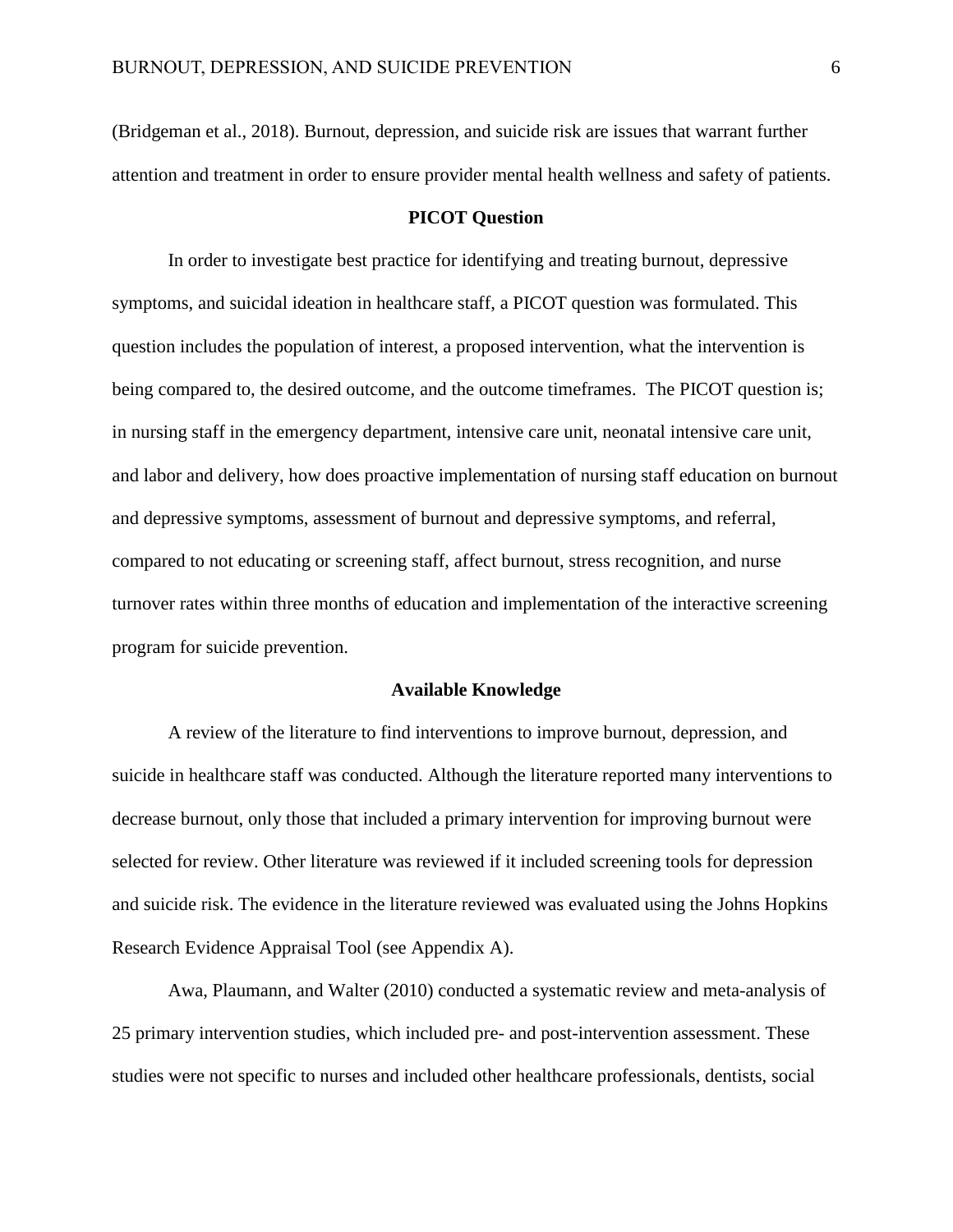(Bridgeman et al., 2018). Burnout, depression, and suicide risk are issues that warrant further attention and treatment in order to ensure provider mental health wellness and safety of patients.

#### **PICOT Question**

In order to investigate best practice for identifying and treating burnout, depressive symptoms, and suicidal ideation in healthcare staff, a PICOT question was formulated. This question includes the population of interest, a proposed intervention, what the intervention is being compared to, the desired outcome, and the outcome timeframes. The PICOT question is; in nursing staff in the emergency department, intensive care unit, neonatal intensive care unit, and labor and delivery, how does proactive implementation of nursing staff education on burnout and depressive symptoms, assessment of burnout and depressive symptoms, and referral, compared to not educating or screening staff, affect burnout, stress recognition, and nurse turnover rates within three months of education and implementation of the interactive screening program for suicide prevention.

#### **Available Knowledge**

A review of the literature to find interventions to improve burnout, depression, and suicide in healthcare staff was conducted. Although the literature reported many interventions to decrease burnout, only those that included a primary intervention for improving burnout were selected for review. Other literature was reviewed if it included screening tools for depression and suicide risk. The evidence in the literature reviewed was evaluated using the Johns Hopkins Research Evidence Appraisal Tool (see Appendix A).

Awa, Plaumann, and Walter (2010) conducted a systematic review and meta-analysis of 25 primary intervention studies, which included pre- and post-intervention assessment. These studies were not specific to nurses and included other healthcare professionals, dentists, social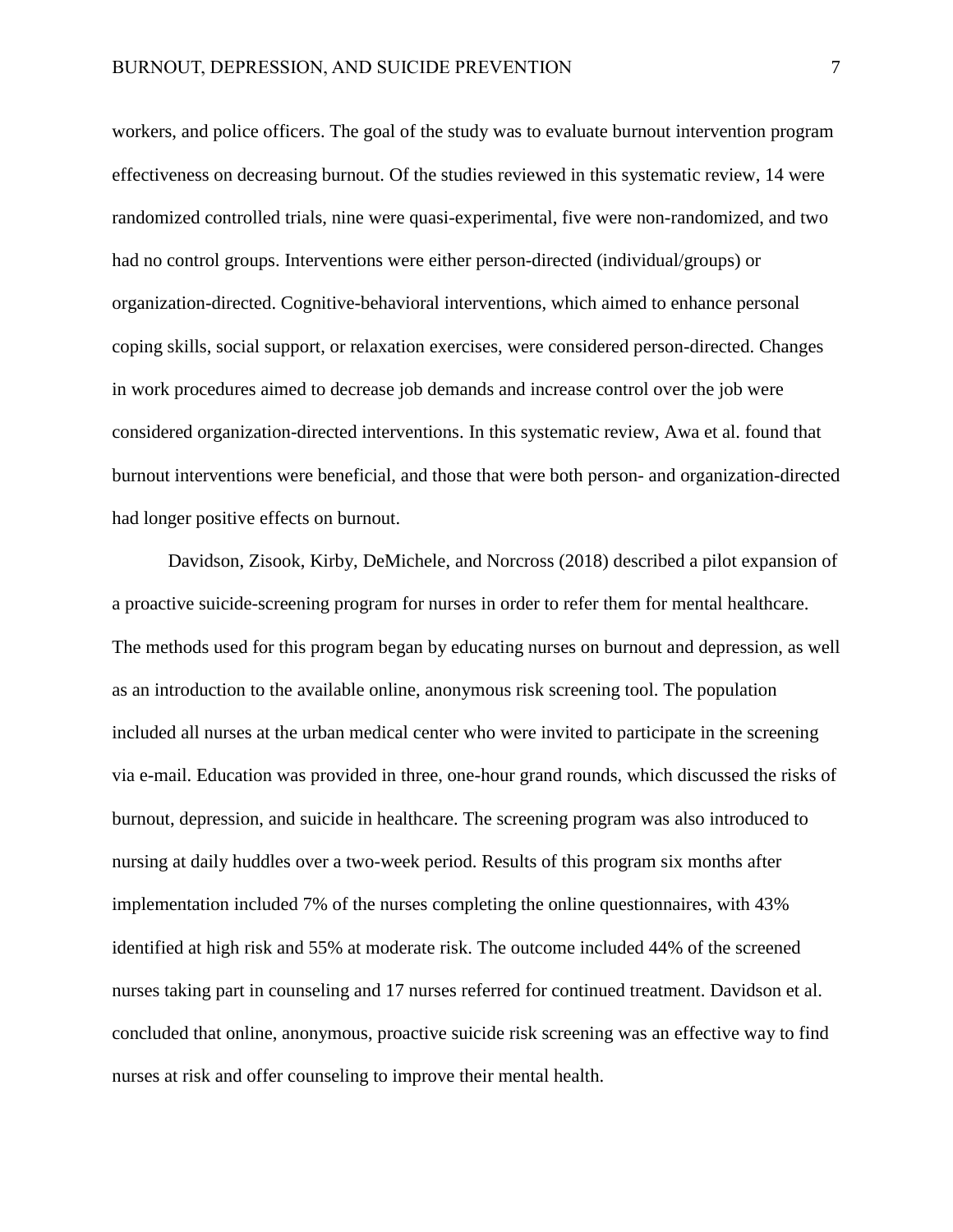workers, and police officers. The goal of the study was to evaluate burnout intervention program effectiveness on decreasing burnout. Of the studies reviewed in this systematic review, 14 were randomized controlled trials, nine were quasi-experimental, five were non-randomized, and two had no control groups. Interventions were either person-directed (individual/groups) or organization-directed. Cognitive-behavioral interventions, which aimed to enhance personal coping skills, social support, or relaxation exercises, were considered person-directed. Changes in work procedures aimed to decrease job demands and increase control over the job were considered organization-directed interventions. In this systematic review, Awa et al. found that burnout interventions were beneficial, and those that were both person- and organization-directed had longer positive effects on burnout.

Davidson, Zisook, Kirby, DeMichele, and Norcross (2018) described a pilot expansion of a proactive suicide-screening program for nurses in order to refer them for mental healthcare. The methods used for this program began by educating nurses on burnout and depression, as well as an introduction to the available online, anonymous risk screening tool. The population included all nurses at the urban medical center who were invited to participate in the screening via e-mail. Education was provided in three, one-hour grand rounds, which discussed the risks of burnout, depression, and suicide in healthcare. The screening program was also introduced to nursing at daily huddles over a two-week period. Results of this program six months after implementation included 7% of the nurses completing the online questionnaires, with 43% identified at high risk and 55% at moderate risk. The outcome included 44% of the screened nurses taking part in counseling and 17 nurses referred for continued treatment. Davidson et al. concluded that online, anonymous, proactive suicide risk screening was an effective way to find nurses at risk and offer counseling to improve their mental health.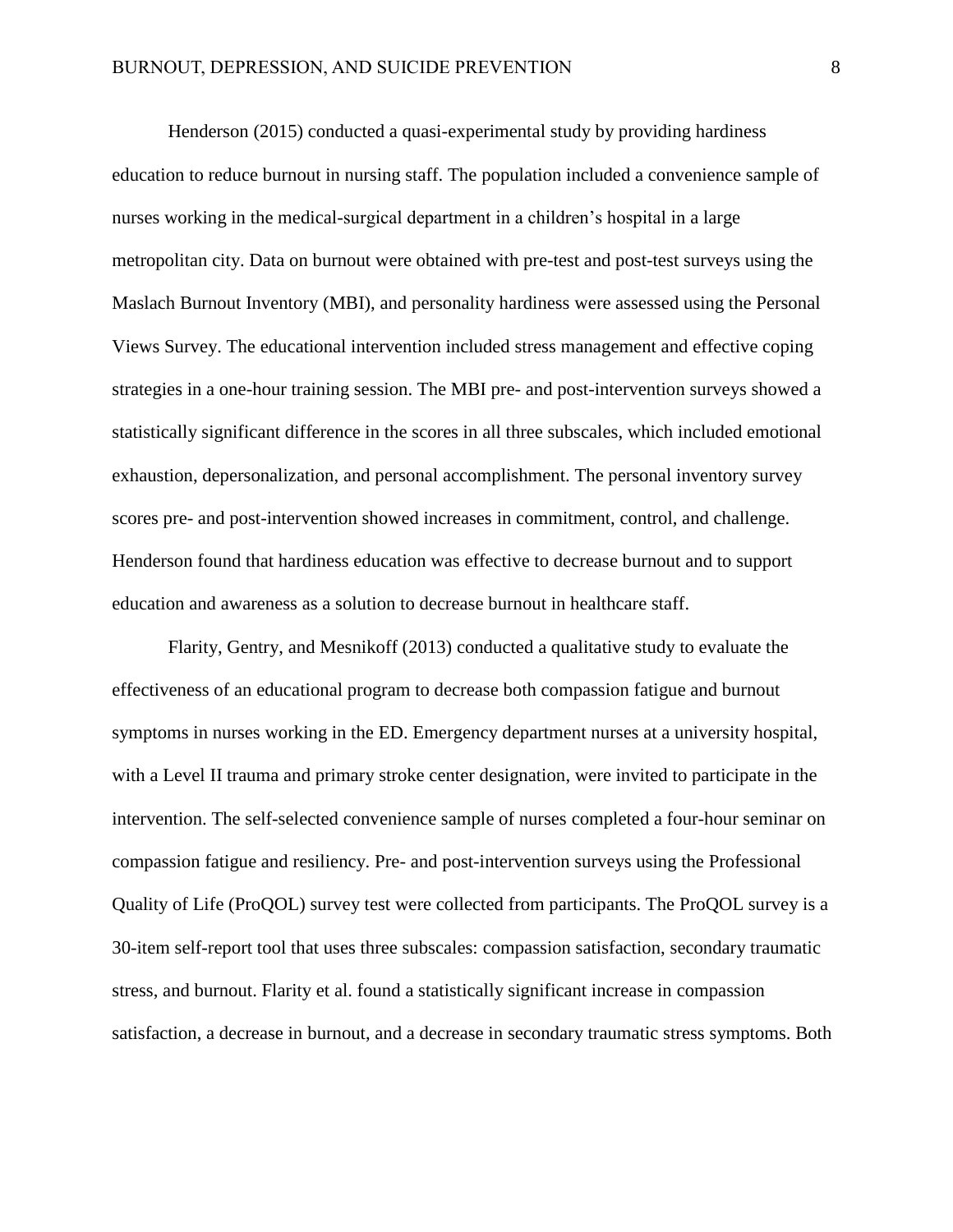Henderson (2015) conducted a quasi-experimental study by providing hardiness education to reduce burnout in nursing staff. The population included a convenience sample of nurses working in the medical-surgical department in a children's hospital in a large metropolitan city. Data on burnout were obtained with pre-test and post-test surveys using the Maslach Burnout Inventory (MBI), and personality hardiness were assessed using the Personal Views Survey. The educational intervention included stress management and effective coping strategies in a one-hour training session. The MBI pre- and post-intervention surveys showed a statistically significant difference in the scores in all three subscales, which included emotional exhaustion, depersonalization, and personal accomplishment. The personal inventory survey scores pre- and post-intervention showed increases in commitment, control, and challenge. Henderson found that hardiness education was effective to decrease burnout and to support education and awareness as a solution to decrease burnout in healthcare staff.

Flarity, Gentry, and Mesnikoff (2013) conducted a qualitative study to evaluate the effectiveness of an educational program to decrease both compassion fatigue and burnout symptoms in nurses working in the ED. Emergency department nurses at a university hospital, with a Level II trauma and primary stroke center designation, were invited to participate in the intervention. The self-selected convenience sample of nurses completed a four-hour seminar on compassion fatigue and resiliency. Pre- and post-intervention surveys using the Professional Quality of Life (ProQOL) survey test were collected from participants. The ProQOL survey is a 30-item self-report tool that uses three subscales: compassion satisfaction, secondary traumatic stress, and burnout. Flarity et al. found a statistically significant increase in compassion satisfaction, a decrease in burnout, and a decrease in secondary traumatic stress symptoms. Both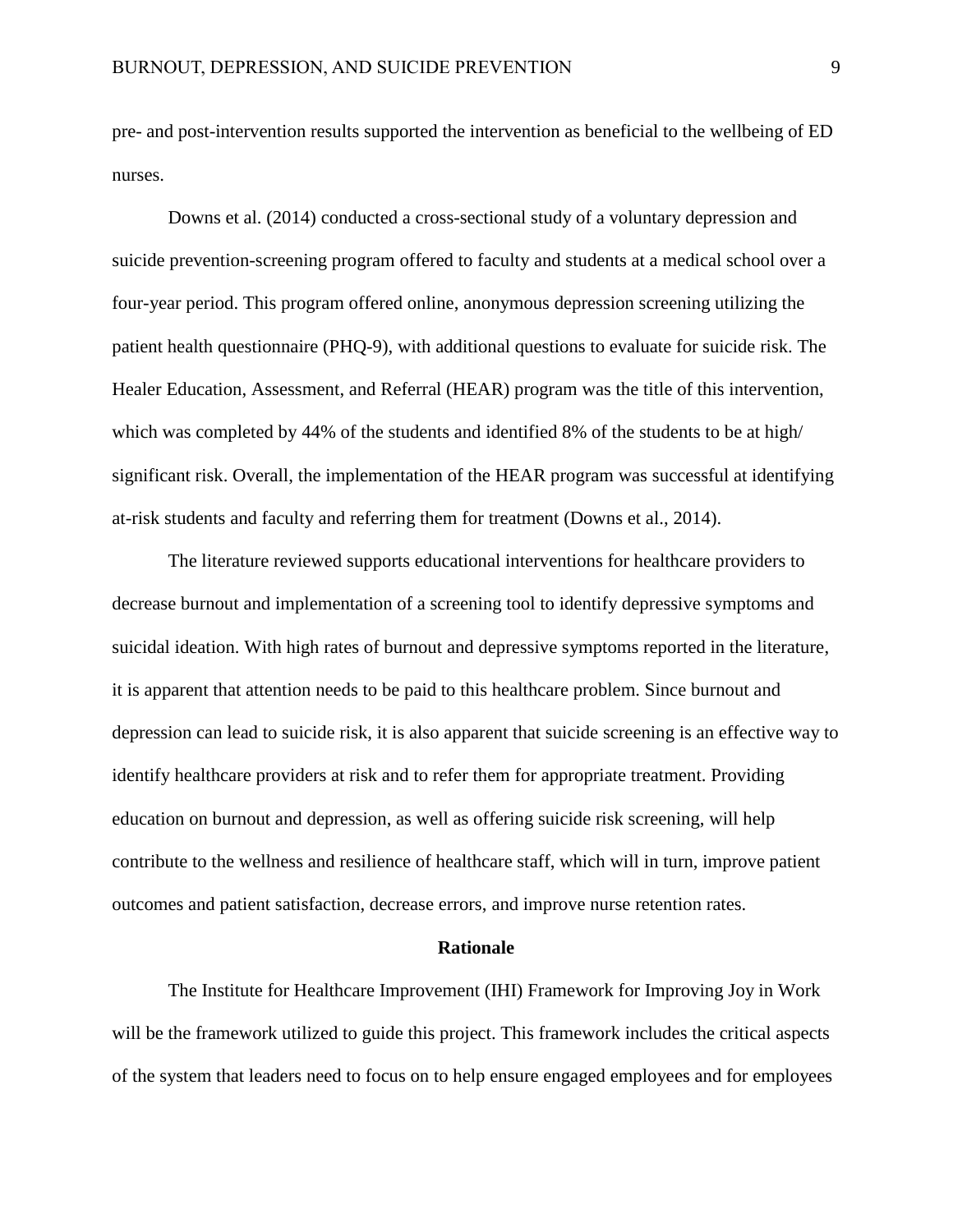pre- and post-intervention results supported the intervention as beneficial to the wellbeing of ED nurses.

Downs et al. (2014) conducted a cross-sectional study of a voluntary depression and suicide prevention-screening program offered to faculty and students at a medical school over a four-year period. This program offered online, anonymous depression screening utilizing the patient health questionnaire (PHQ-9), with additional questions to evaluate for suicide risk. The Healer Education, Assessment, and Referral (HEAR) program was the title of this intervention, which was completed by 44% of the students and identified 8% of the students to be at high/ significant risk. Overall, the implementation of the HEAR program was successful at identifying at-risk students and faculty and referring them for treatment (Downs et al., 2014).

The literature reviewed supports educational interventions for healthcare providers to decrease burnout and implementation of a screening tool to identify depressive symptoms and suicidal ideation. With high rates of burnout and depressive symptoms reported in the literature, it is apparent that attention needs to be paid to this healthcare problem. Since burnout and depression can lead to suicide risk, it is also apparent that suicide screening is an effective way to identify healthcare providers at risk and to refer them for appropriate treatment. Providing education on burnout and depression, as well as offering suicide risk screening, will help contribute to the wellness and resilience of healthcare staff, which will in turn, improve patient outcomes and patient satisfaction, decrease errors, and improve nurse retention rates.

#### **Rationale**

The Institute for Healthcare Improvement (IHI) Framework for Improving Joy in Work will be the framework utilized to guide this project. This framework includes the critical aspects of the system that leaders need to focus on to help ensure engaged employees and for employees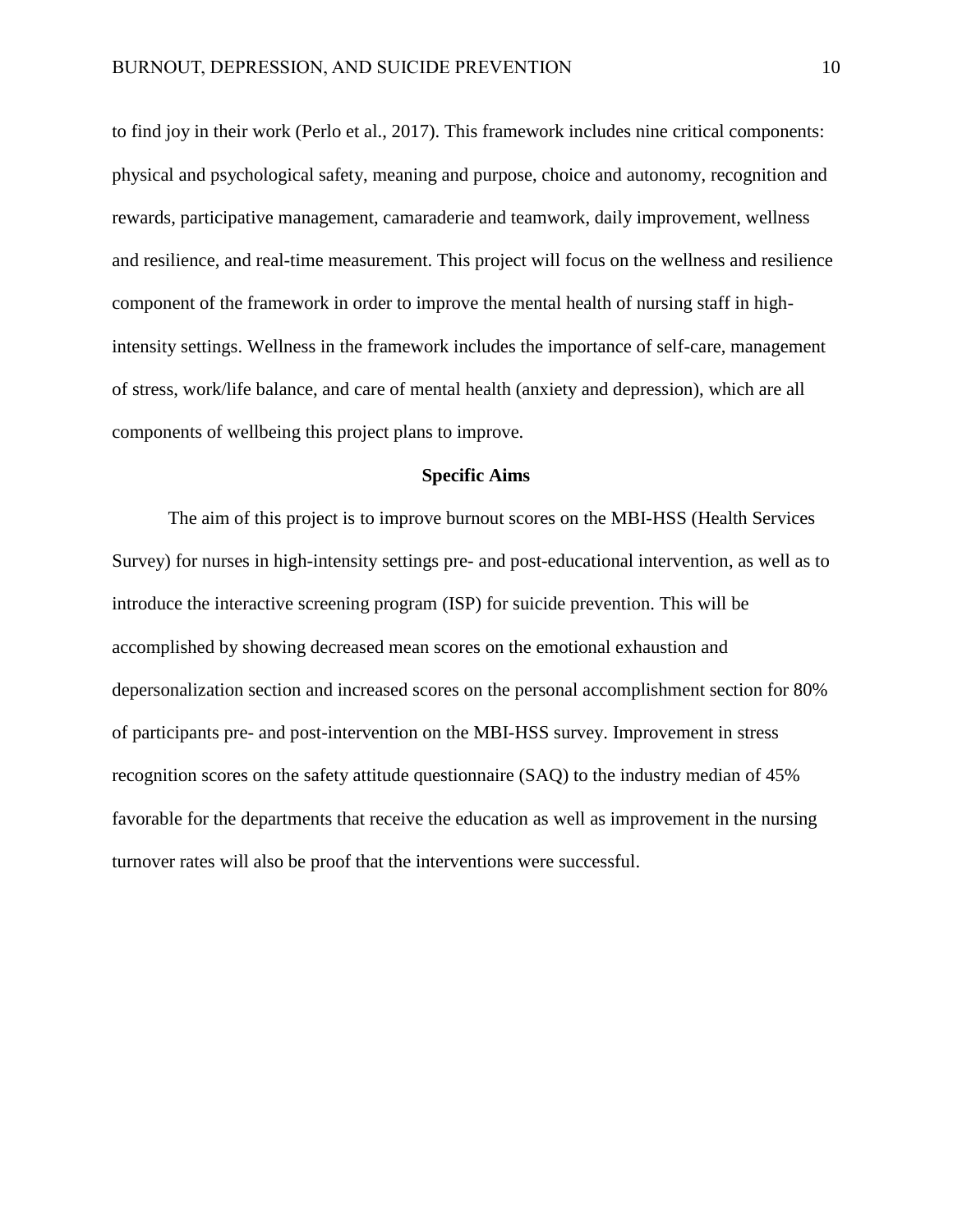to find joy in their work (Perlo et al., 2017). This framework includes nine critical components: physical and psychological safety, meaning and purpose, choice and autonomy, recognition and rewards, participative management, camaraderie and teamwork, daily improvement, wellness and resilience, and real-time measurement. This project will focus on the wellness and resilience component of the framework in order to improve the mental health of nursing staff in highintensity settings. Wellness in the framework includes the importance of self-care, management of stress, work/life balance, and care of mental health (anxiety and depression), which are all components of wellbeing this project plans to improve.

#### **Specific Aims**

The aim of this project is to improve burnout scores on the MBI-HSS (Health Services Survey) for nurses in high-intensity settings pre- and post-educational intervention, as well as to introduce the interactive screening program (ISP) for suicide prevention. This will be accomplished by showing decreased mean scores on the emotional exhaustion and depersonalization section and increased scores on the personal accomplishment section for 80% of participants pre- and post-intervention on the MBI-HSS survey. Improvement in stress recognition scores on the safety attitude questionnaire (SAQ) to the industry median of 45% favorable for the departments that receive the education as well as improvement in the nursing turnover rates will also be proof that the interventions were successful.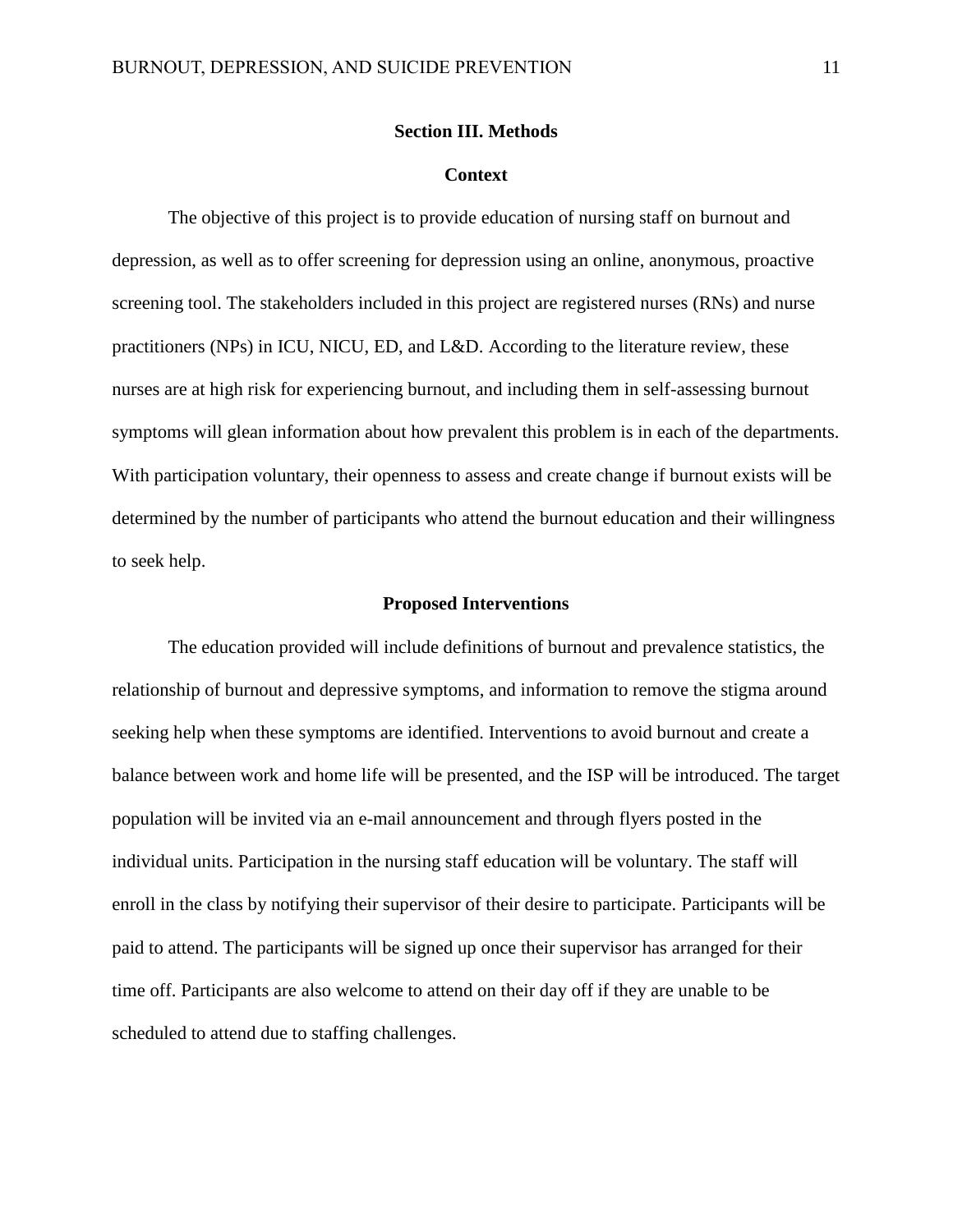#### **Section III. Methods**

#### **Context**

The objective of this project is to provide education of nursing staff on burnout and depression, as well as to offer screening for depression using an online, anonymous, proactive screening tool. The stakeholders included in this project are registered nurses (RNs) and nurse practitioners (NPs) in ICU, NICU, ED, and L&D. According to the literature review, these nurses are at high risk for experiencing burnout, and including them in self-assessing burnout symptoms will glean information about how prevalent this problem is in each of the departments. With participation voluntary, their openness to assess and create change if burnout exists will be determined by the number of participants who attend the burnout education and their willingness to seek help.

#### **Proposed Interventions**

The education provided will include definitions of burnout and prevalence statistics, the relationship of burnout and depressive symptoms, and information to remove the stigma around seeking help when these symptoms are identified. Interventions to avoid burnout and create a balance between work and home life will be presented, and the ISP will be introduced. The target population will be invited via an e-mail announcement and through flyers posted in the individual units. Participation in the nursing staff education will be voluntary. The staff will enroll in the class by notifying their supervisor of their desire to participate. Participants will be paid to attend. The participants will be signed up once their supervisor has arranged for their time off. Participants are also welcome to attend on their day off if they are unable to be scheduled to attend due to staffing challenges.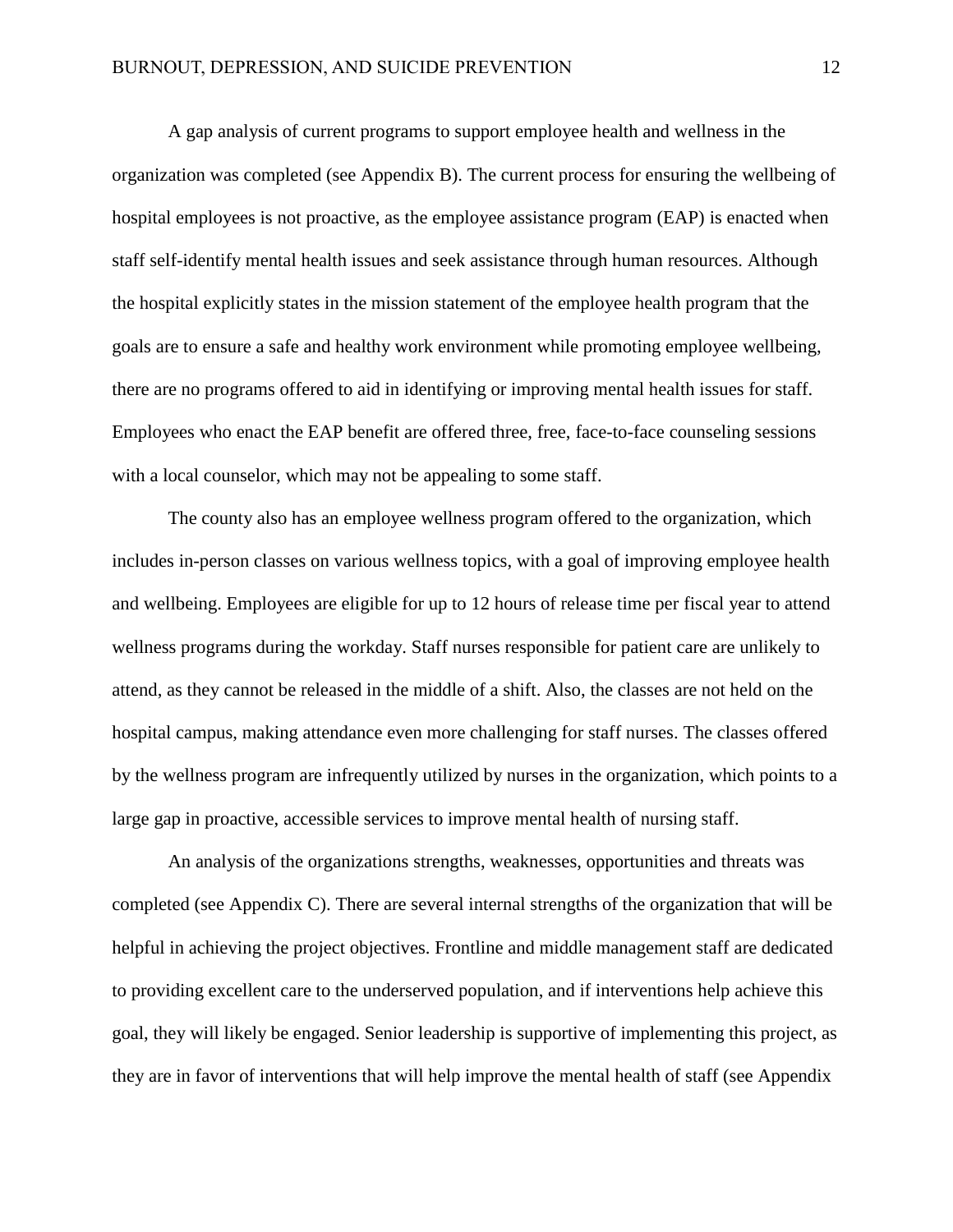A gap analysis of current programs to support employee health and wellness in the organization was completed (see Appendix B). The current process for ensuring the wellbeing of hospital employees is not proactive, as the employee assistance program (EAP) is enacted when staff self-identify mental health issues and seek assistance through human resources. Although the hospital explicitly states in the mission statement of the employee health program that the goals are to ensure a safe and healthy work environment while promoting employee wellbeing, there are no programs offered to aid in identifying or improving mental health issues for staff. Employees who enact the EAP benefit are offered three, free, face-to-face counseling sessions with a local counselor, which may not be appealing to some staff.

The county also has an employee wellness program offered to the organization, which includes in-person classes on various wellness topics, with a goal of improving employee health and wellbeing. Employees are eligible for up to 12 hours of release time per fiscal year to attend wellness programs during the workday. Staff nurses responsible for patient care are unlikely to attend, as they cannot be released in the middle of a shift. Also, the classes are not held on the hospital campus, making attendance even more challenging for staff nurses. The classes offered by the wellness program are infrequently utilized by nurses in the organization, which points to a large gap in proactive, accessible services to improve mental health of nursing staff.

An analysis of the organizations strengths, weaknesses, opportunities and threats was completed (see Appendix C). There are several internal strengths of the organization that will be helpful in achieving the project objectives. Frontline and middle management staff are dedicated to providing excellent care to the underserved population, and if interventions help achieve this goal, they will likely be engaged. Senior leadership is supportive of implementing this project, as they are in favor of interventions that will help improve the mental health of staff (see Appendix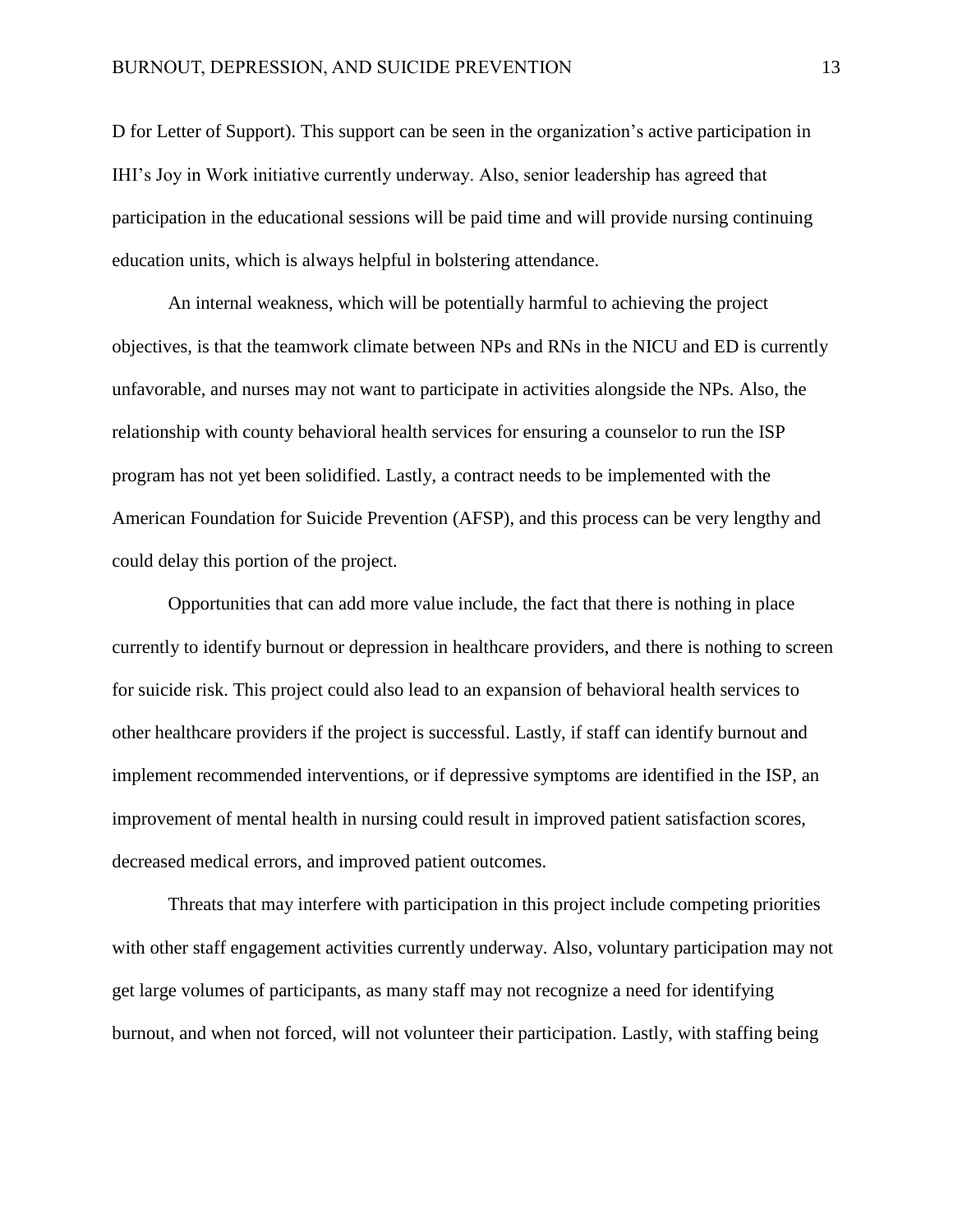D for Letter of Support). This support can be seen in the organization's active participation in IHI's Joy in Work initiative currently underway. Also, senior leadership has agreed that participation in the educational sessions will be paid time and will provide nursing continuing education units, which is always helpful in bolstering attendance.

An internal weakness, which will be potentially harmful to achieving the project objectives, is that the teamwork climate between NPs and RNs in the NICU and ED is currently unfavorable, and nurses may not want to participate in activities alongside the NPs. Also, the relationship with county behavioral health services for ensuring a counselor to run the ISP program has not yet been solidified. Lastly, a contract needs to be implemented with the American Foundation for Suicide Prevention (AFSP), and this process can be very lengthy and could delay this portion of the project.

Opportunities that can add more value include, the fact that there is nothing in place currently to identify burnout or depression in healthcare providers, and there is nothing to screen for suicide risk. This project could also lead to an expansion of behavioral health services to other healthcare providers if the project is successful. Lastly, if staff can identify burnout and implement recommended interventions, or if depressive symptoms are identified in the ISP, an improvement of mental health in nursing could result in improved patient satisfaction scores, decreased medical errors, and improved patient outcomes.

Threats that may interfere with participation in this project include competing priorities with other staff engagement activities currently underway. Also, voluntary participation may not get large volumes of participants, as many staff may not recognize a need for identifying burnout, and when not forced, will not volunteer their participation. Lastly, with staffing being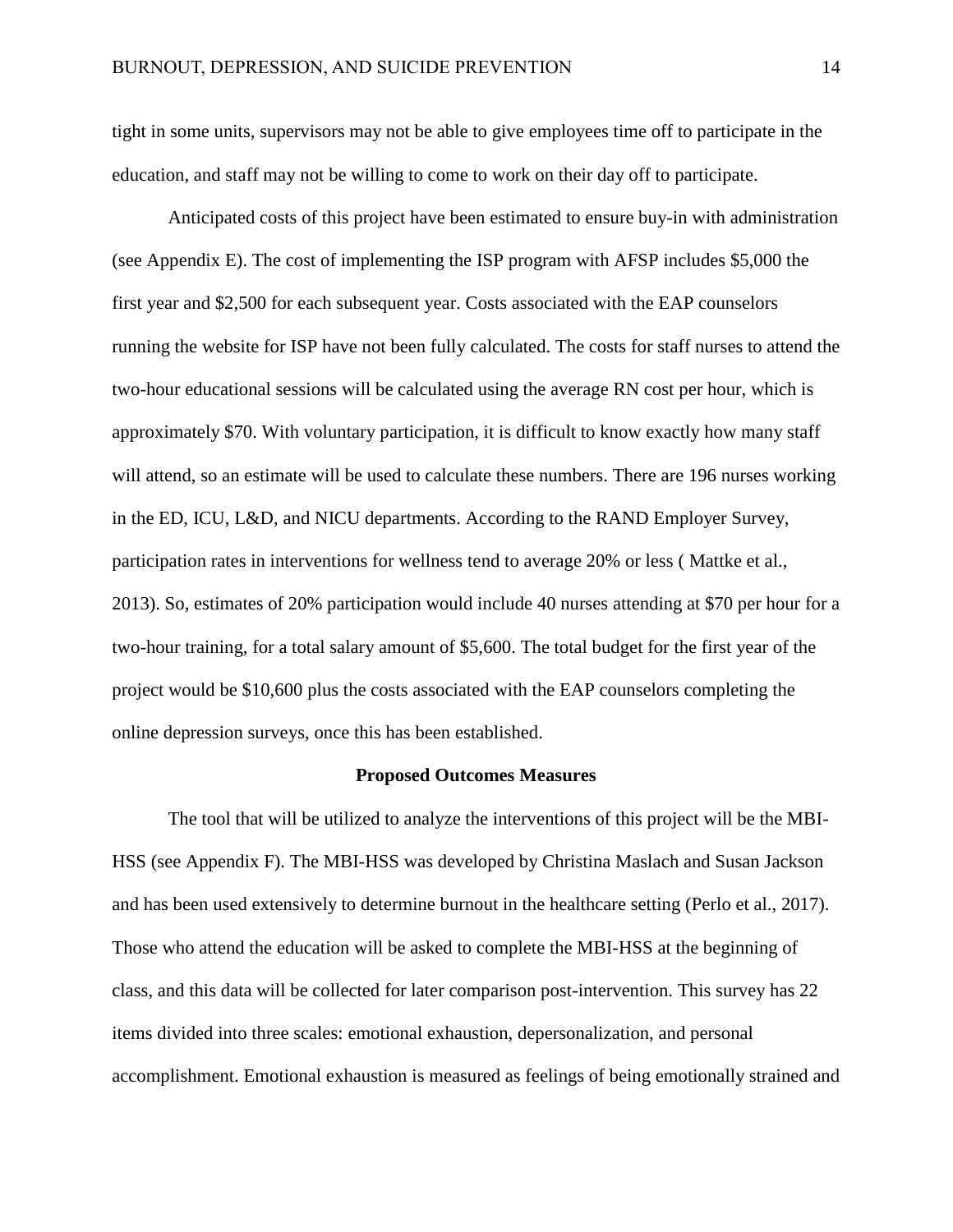tight in some units, supervisors may not be able to give employees time off to participate in the education, and staff may not be willing to come to work on their day off to participate.

Anticipated costs of this project have been estimated to ensure buy-in with administration (see Appendix E). The cost of implementing the ISP program with AFSP includes \$5,000 the first year and \$2,500 for each subsequent year. Costs associated with the EAP counselors running the website for ISP have not been fully calculated. The costs for staff nurses to attend the two-hour educational sessions will be calculated using the average RN cost per hour, which is approximately \$70. With voluntary participation, it is difficult to know exactly how many staff will attend, so an estimate will be used to calculate these numbers. There are 196 nurses working in the ED, ICU, L&D, and NICU departments. According to the RAND Employer Survey, participation rates in interventions for wellness tend to average 20% or less ( Mattke et al., 2013). So, estimates of 20% participation would include 40 nurses attending at \$70 per hour for a two-hour training, for a total salary amount of \$5,600. The total budget for the first year of the project would be \$10,600 plus the costs associated with the EAP counselors completing the online depression surveys, once this has been established.

#### **Proposed Outcomes Measures**

The tool that will be utilized to analyze the interventions of this project will be the MBI-HSS (see Appendix F). The MBI-HSS was developed by Christina Maslach and Susan Jackson and has been used extensively to determine burnout in the healthcare setting (Perlo et al., 2017). Those who attend the education will be asked to complete the MBI-HSS at the beginning of class, and this data will be collected for later comparison post-intervention. This survey has 22 items divided into three scales: emotional exhaustion, depersonalization, and personal accomplishment. Emotional exhaustion is measured as feelings of being emotionally strained and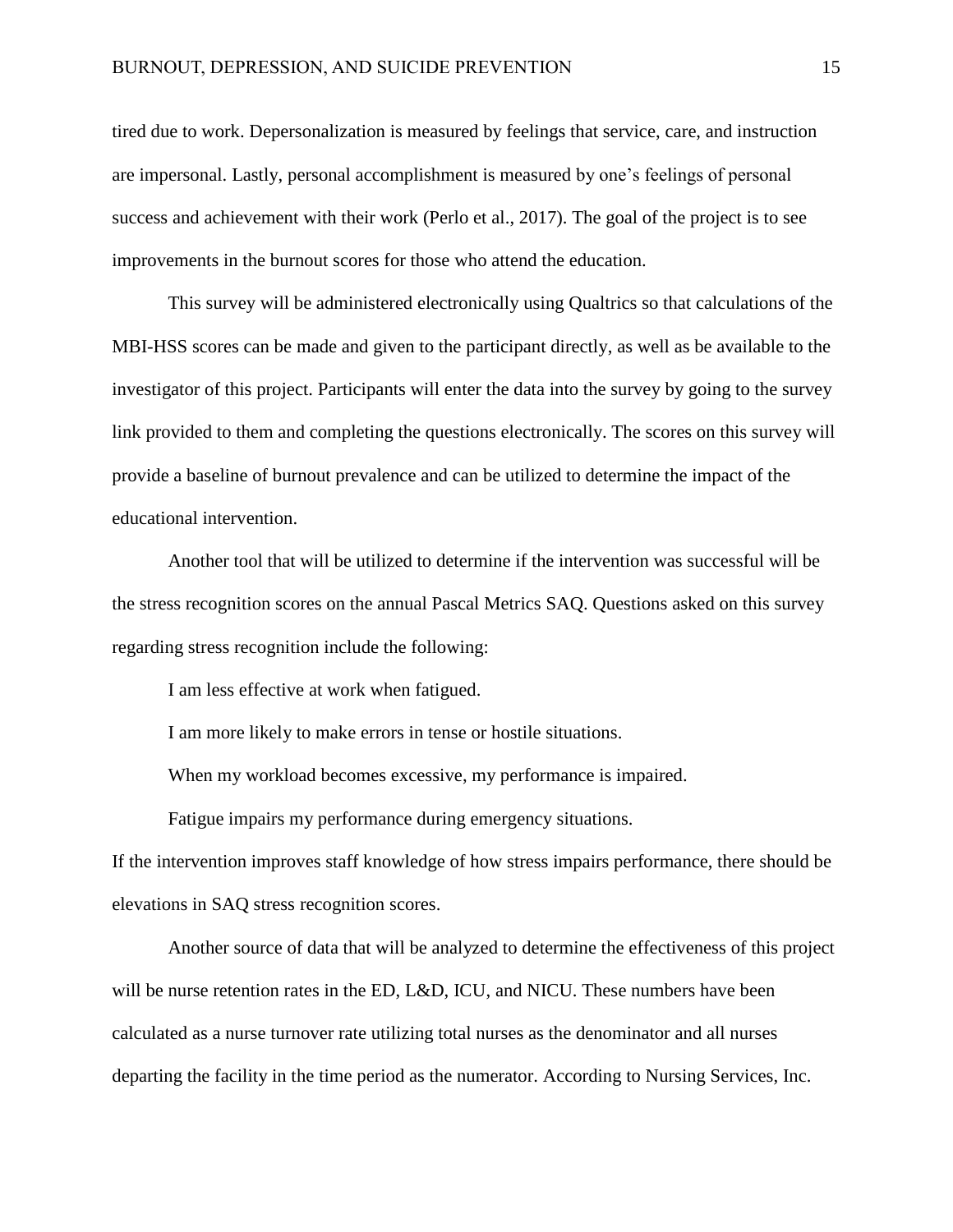tired due to work. Depersonalization is measured by feelings that service, care, and instruction are impersonal. Lastly, personal accomplishment is measured by one's feelings of personal success and achievement with their work (Perlo et al., 2017). The goal of the project is to see improvements in the burnout scores for those who attend the education.

This survey will be administered electronically using Qualtrics so that calculations of the MBI-HSS scores can be made and given to the participant directly, as well as be available to the investigator of this project. Participants will enter the data into the survey by going to the survey link provided to them and completing the questions electronically. The scores on this survey will provide a baseline of burnout prevalence and can be utilized to determine the impact of the educational intervention.

Another tool that will be utilized to determine if the intervention was successful will be the stress recognition scores on the annual Pascal Metrics SAQ. Questions asked on this survey regarding stress recognition include the following:

I am less effective at work when fatigued.

I am more likely to make errors in tense or hostile situations.

When my workload becomes excessive, my performance is impaired.

Fatigue impairs my performance during emergency situations.

If the intervention improves staff knowledge of how stress impairs performance, there should be elevations in SAQ stress recognition scores.

Another source of data that will be analyzed to determine the effectiveness of this project will be nurse retention rates in the ED, L&D, ICU, and NICU. These numbers have been calculated as a nurse turnover rate utilizing total nurses as the denominator and all nurses departing the facility in the time period as the numerator. According to Nursing Services, Inc.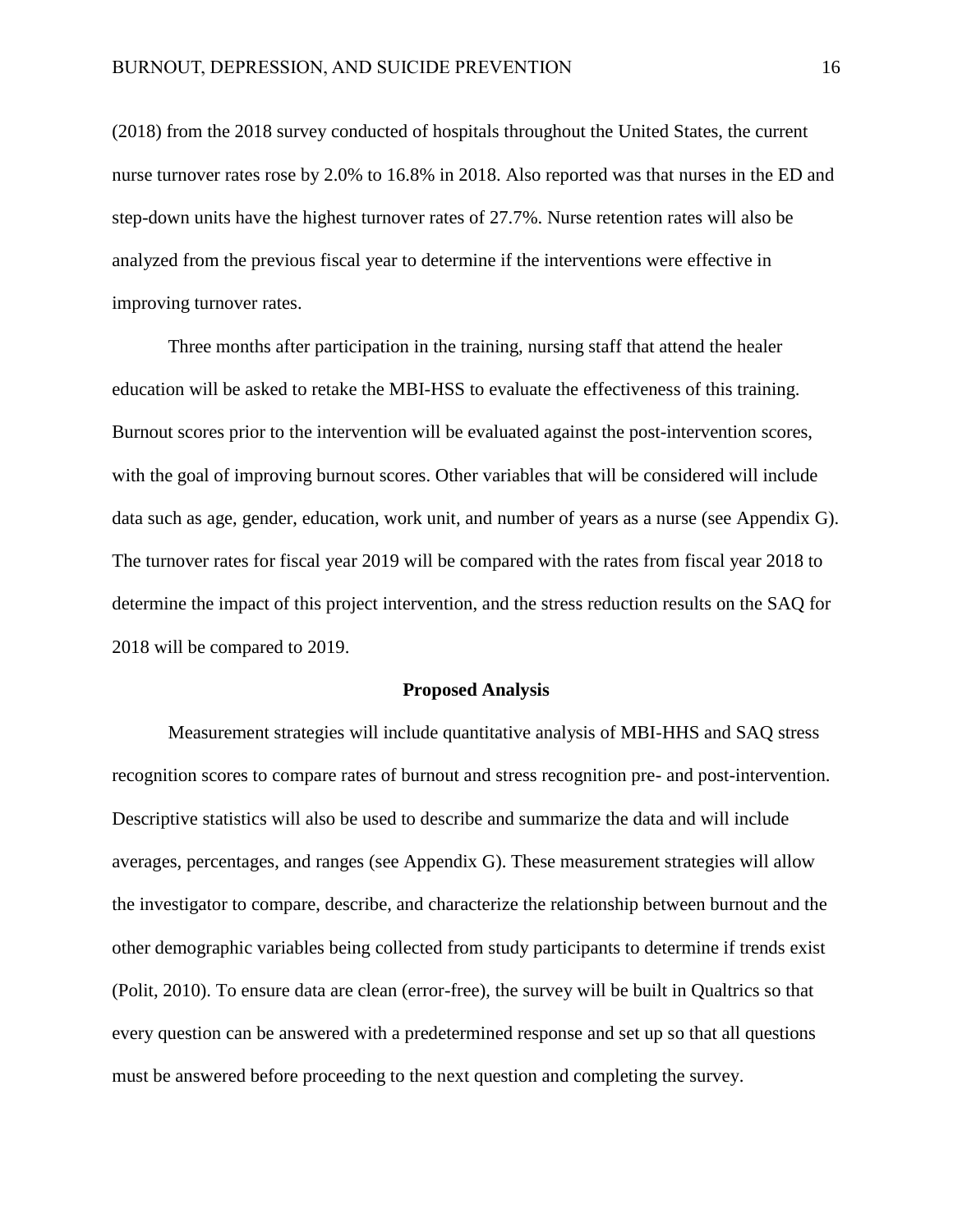(2018) from the 2018 survey conducted of hospitals throughout the United States, the current nurse turnover rates rose by 2.0% to 16.8% in 2018. Also reported was that nurses in the ED and step-down units have the highest turnover rates of 27.7%. Nurse retention rates will also be analyzed from the previous fiscal year to determine if the interventions were effective in improving turnover rates.

Three months after participation in the training, nursing staff that attend the healer education will be asked to retake the MBI-HSS to evaluate the effectiveness of this training. Burnout scores prior to the intervention will be evaluated against the post-intervention scores, with the goal of improving burnout scores. Other variables that will be considered will include data such as age, gender, education, work unit, and number of years as a nurse (see Appendix G). The turnover rates for fiscal year 2019 will be compared with the rates from fiscal year 2018 to determine the impact of this project intervention, and the stress reduction results on the SAQ for 2018 will be compared to 2019.

#### **Proposed Analysis**

Measurement strategies will include quantitative analysis of MBI-HHS and SAQ stress recognition scores to compare rates of burnout and stress recognition pre- and post-intervention. Descriptive statistics will also be used to describe and summarize the data and will include averages, percentages, and ranges (see Appendix G). These measurement strategies will allow the investigator to compare, describe, and characterize the relationship between burnout and the other demographic variables being collected from study participants to determine if trends exist (Polit, 2010). To ensure data are clean (error-free), the survey will be built in Qualtrics so that every question can be answered with a predetermined response and set up so that all questions must be answered before proceeding to the next question and completing the survey.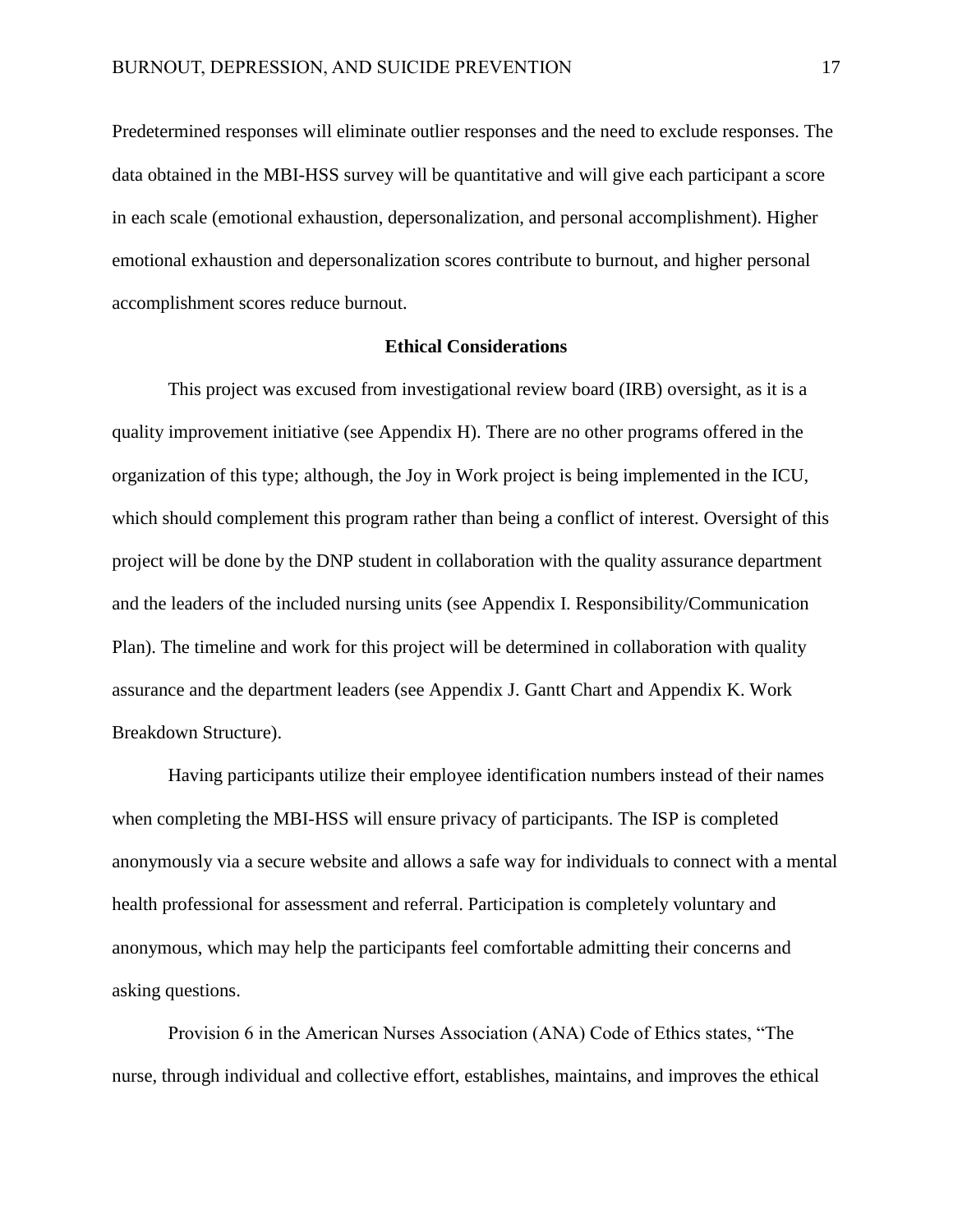Predetermined responses will eliminate outlier responses and the need to exclude responses. The data obtained in the MBI-HSS survey will be quantitative and will give each participant a score in each scale (emotional exhaustion, depersonalization, and personal accomplishment). Higher emotional exhaustion and depersonalization scores contribute to burnout, and higher personal accomplishment scores reduce burnout.

### **Ethical Considerations**

This project was excused from investigational review board (IRB) oversight, as it is a quality improvement initiative (see Appendix H). There are no other programs offered in the organization of this type; although, the Joy in Work project is being implemented in the ICU, which should complement this program rather than being a conflict of interest. Oversight of this project will be done by the DNP student in collaboration with the quality assurance department and the leaders of the included nursing units (see Appendix I. Responsibility/Communication Plan). The timeline and work for this project will be determined in collaboration with quality assurance and the department leaders (see Appendix J. Gantt Chart and Appendix K. Work Breakdown Structure).

Having participants utilize their employee identification numbers instead of their names when completing the MBI-HSS will ensure privacy of participants. The ISP is completed anonymously via a secure website and allows a safe way for individuals to connect with a mental health professional for assessment and referral. Participation is completely voluntary and anonymous, which may help the participants feel comfortable admitting their concerns and asking questions.

Provision 6 in the American Nurses Association (ANA) Code of Ethics states, "The nurse, through individual and collective effort, establishes, maintains, and improves the ethical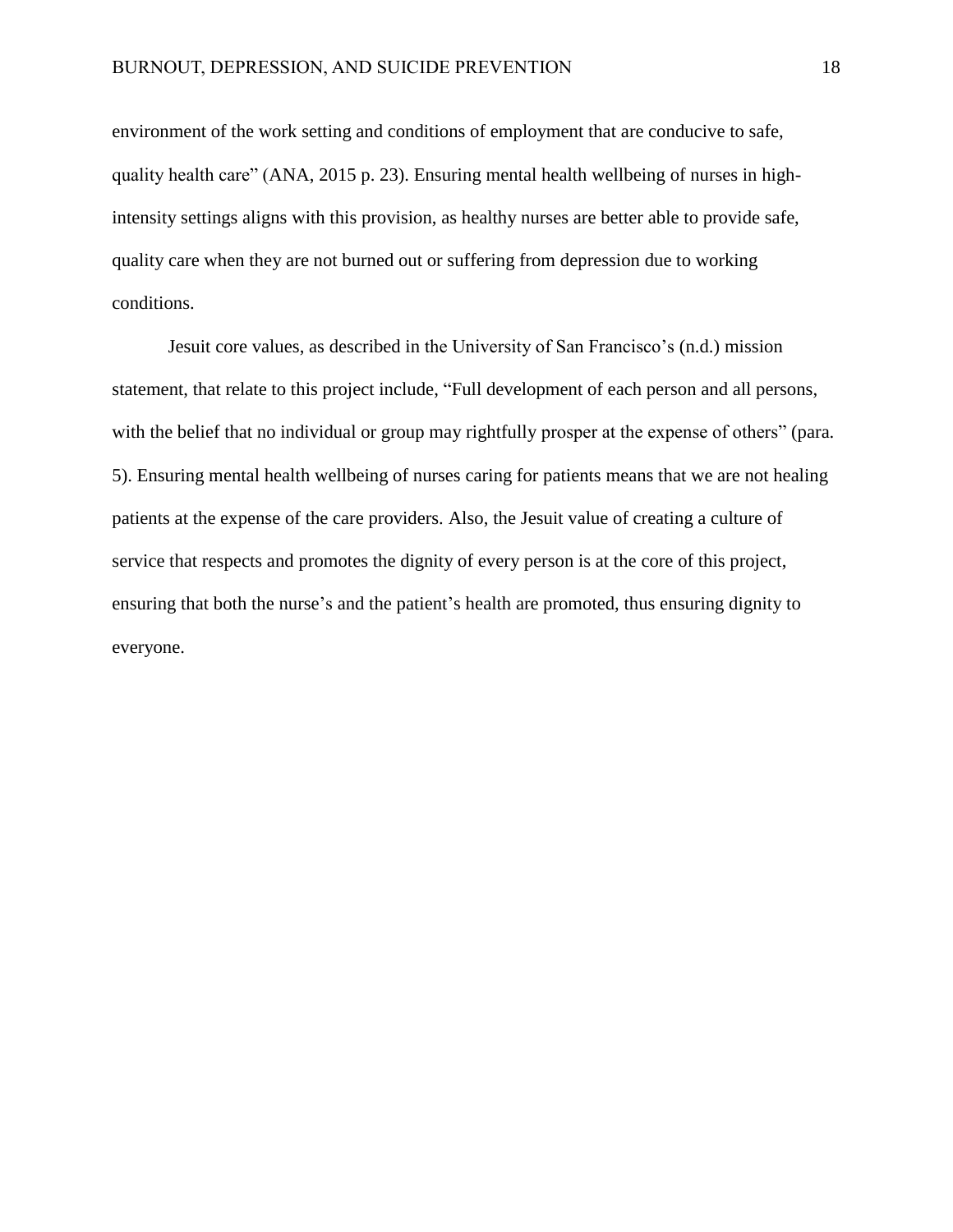environment of the work setting and conditions of employment that are conducive to safe, quality health care" (ANA, 2015 p. 23). Ensuring mental health wellbeing of nurses in highintensity settings aligns with this provision, as healthy nurses are better able to provide safe, quality care when they are not burned out or suffering from depression due to working conditions.

Jesuit core values, as described in the University of San Francisco's (n.d.) mission statement, that relate to this project include, "Full development of each person and all persons, with the belief that no individual or group may rightfully prosper at the expense of others" (para. 5). Ensuring mental health wellbeing of nurses caring for patients means that we are not healing patients at the expense of the care providers. Also, the Jesuit value of creating a culture of service that respects and promotes the dignity of every person is at the core of this project, ensuring that both the nurse's and the patient's health are promoted, thus ensuring dignity to everyone.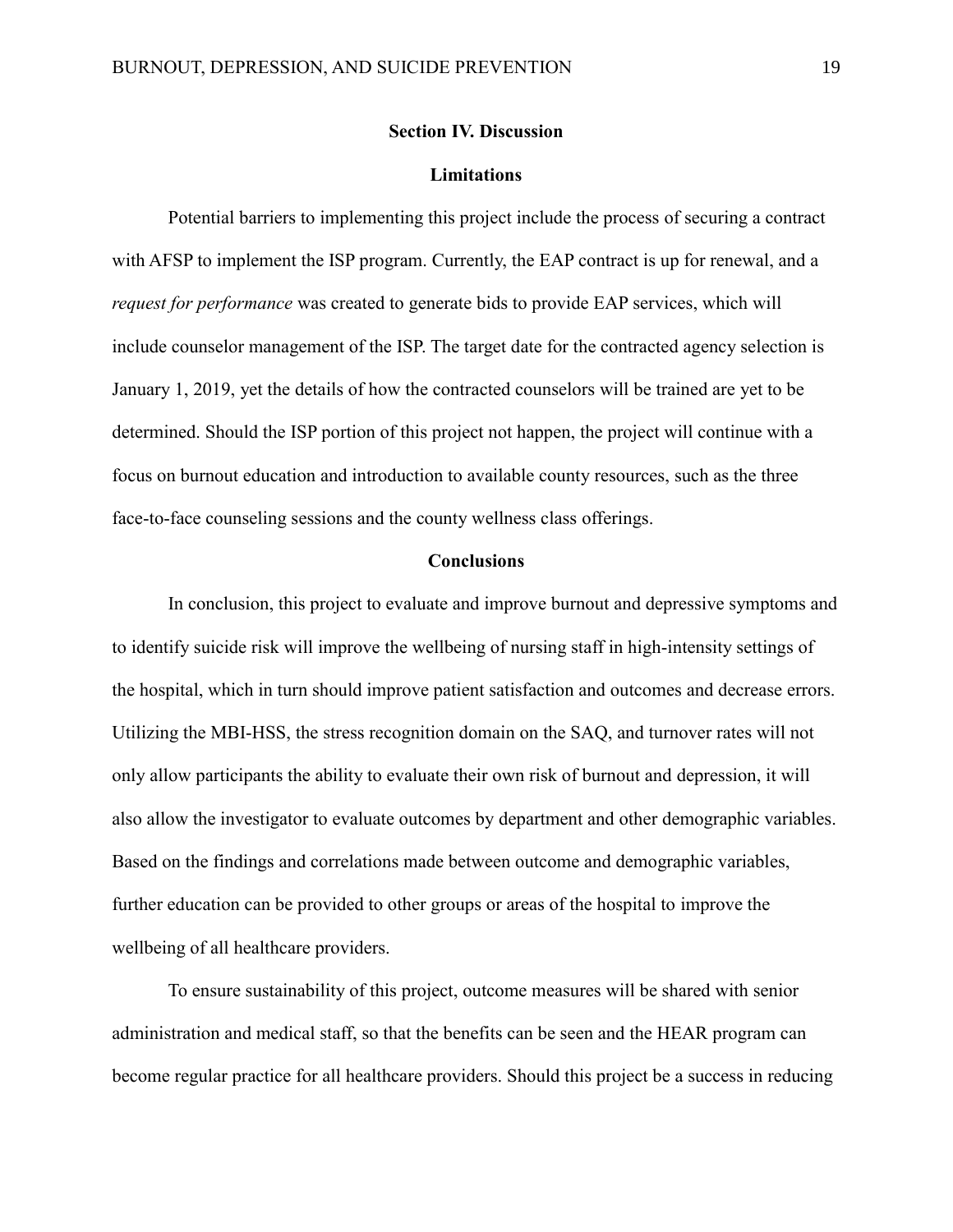#### **Section IV. Discussion**

#### **Limitations**

Potential barriers to implementing this project include the process of securing a contract with AFSP to implement the ISP program. Currently, the EAP contract is up for renewal, and a *request for performance* was created to generate bids to provide EAP services, which will include counselor management of the ISP. The target date for the contracted agency selection is January 1, 2019, yet the details of how the contracted counselors will be trained are yet to be determined. Should the ISP portion of this project not happen, the project will continue with a focus on burnout education and introduction to available county resources, such as the three face-to-face counseling sessions and the county wellness class offerings.

#### **Conclusions**

In conclusion, this project to evaluate and improve burnout and depressive symptoms and to identify suicide risk will improve the wellbeing of nursing staff in high-intensity settings of the hospital, which in turn should improve patient satisfaction and outcomes and decrease errors. Utilizing the MBI-HSS, the stress recognition domain on the SAQ, and turnover rates will not only allow participants the ability to evaluate their own risk of burnout and depression, it will also allow the investigator to evaluate outcomes by department and other demographic variables. Based on the findings and correlations made between outcome and demographic variables, further education can be provided to other groups or areas of the hospital to improve the wellbeing of all healthcare providers.

To ensure sustainability of this project, outcome measures will be shared with senior administration and medical staff, so that the benefits can be seen and the HEAR program can become regular practice for all healthcare providers. Should this project be a success in reducing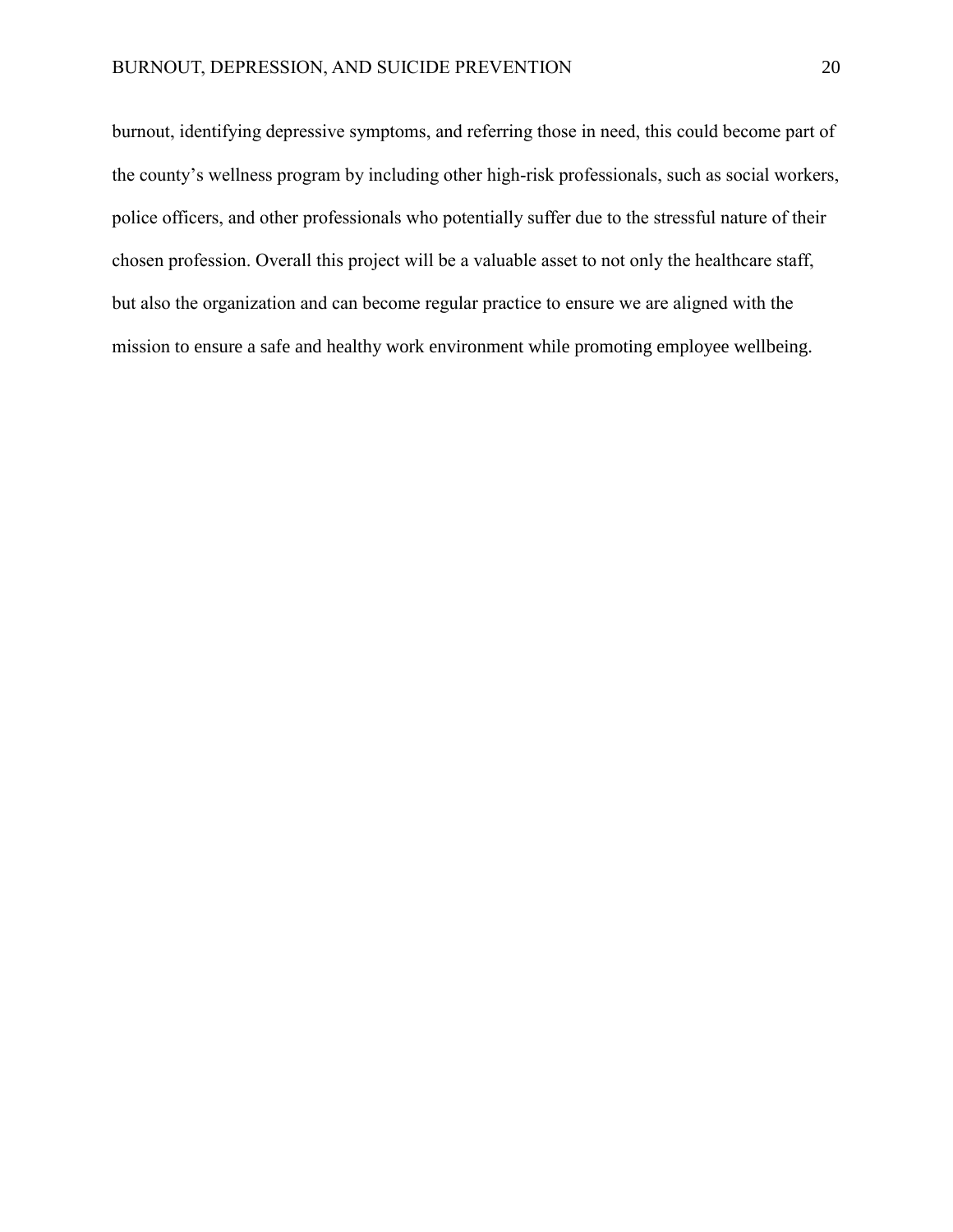burnout, identifying depressive symptoms, and referring those in need, this could become part of the county's wellness program by including other high-risk professionals, such as social workers, police officers, and other professionals who potentially suffer due to the stressful nature of their chosen profession. Overall this project will be a valuable asset to not only the healthcare staff, but also the organization and can become regular practice to ensure we are aligned with the mission to ensure a safe and healthy work environment while promoting employee wellbeing.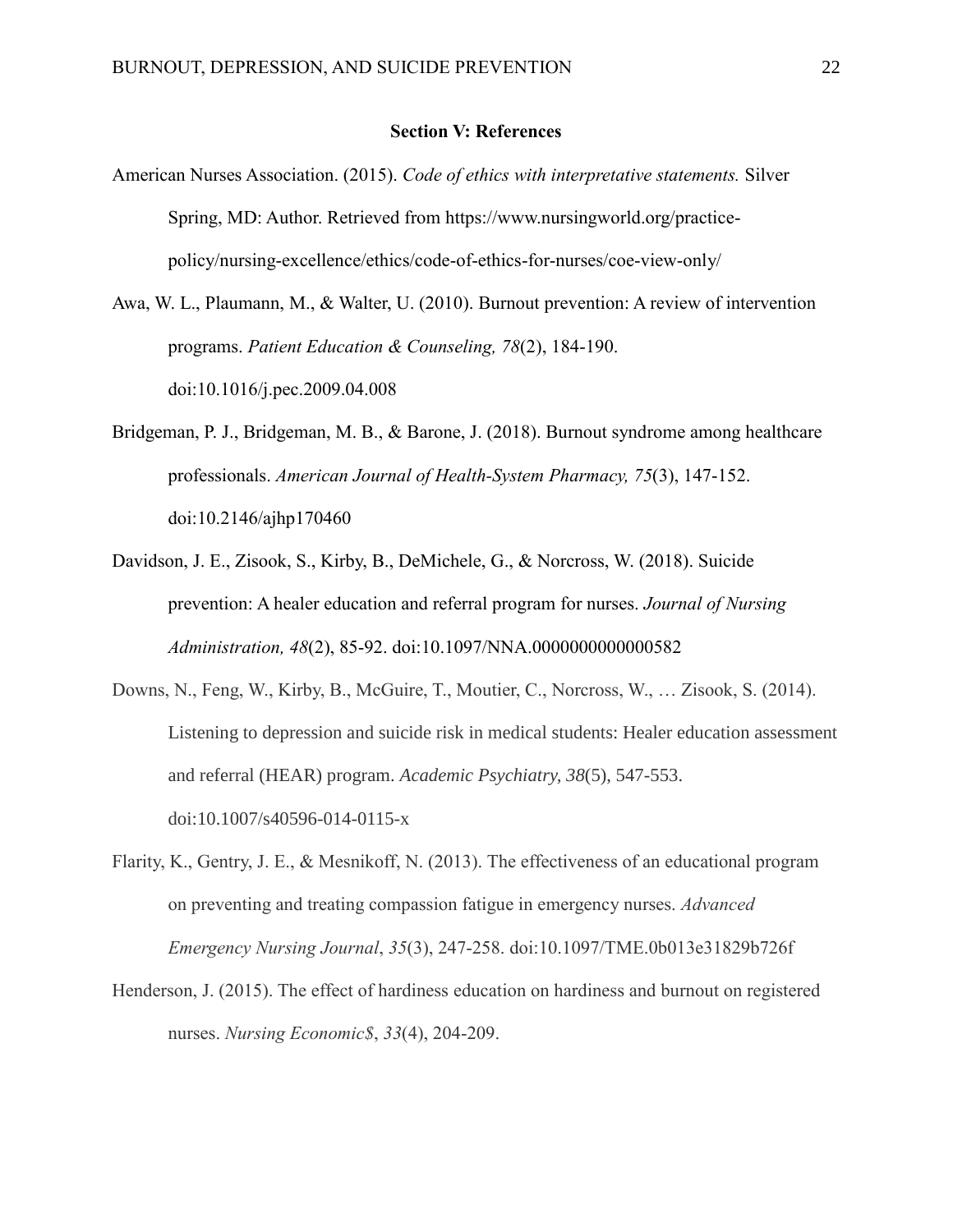#### **Section V: References**

American Nurses Association. (2015). *Code of ethics with interpretative statements.* Silver Spring, MD: Author. Retrieved from https://www.nursingworld.org/practicepolicy/nursing-excellence/ethics/code-of-ethics-for-nurses/coe-view-only/

Awa, W. L., Plaumann, M., & Walter, U. (2010). Burnout prevention: A review of intervention programs. *Patient Education & Counseling, 78*(2), 184-190. doi:10.1016/j.pec.2009.04.008

- Bridgeman, P. J., Bridgeman, M. B., & Barone, J. (2018). Burnout syndrome among healthcare professionals. *American Journal of Health-System Pharmacy, 75*(3), 147-152. doi:10.2146/ajhp170460
- Davidson, J. E., Zisook, S., Kirby, B., DeMichele, G., & Norcross, W. (2018). Suicide prevention: A healer education and referral program for nurses. *Journal of Nursing Administration, 48*(2), 85-92. doi:10.1097/NNA.0000000000000582
- Downs, N., Feng, W., Kirby, B., McGuire, T., Moutier, C., Norcross, W., … Zisook, S. (2014). Listening to depression and suicide risk in medical students: Healer education assessment and referral (HEAR) program. *Academic Psychiatry, 38*(5), 547-553. doi:10.1007/s40596-014-0115-x
- Flarity, K., Gentry, J. E., & Mesnikoff, N. (2013). The effectiveness of an educational program on preventing and treating compassion fatigue in emergency nurses. *Advanced Emergency Nursing Journal*, *35*(3), 247-258. doi:10.1097/TME.0b013e31829b726f
- Henderson, J. (2015). The effect of hardiness education on hardiness and burnout on registered nurses. *Nursing Economic\$*, *33*(4), 204-209.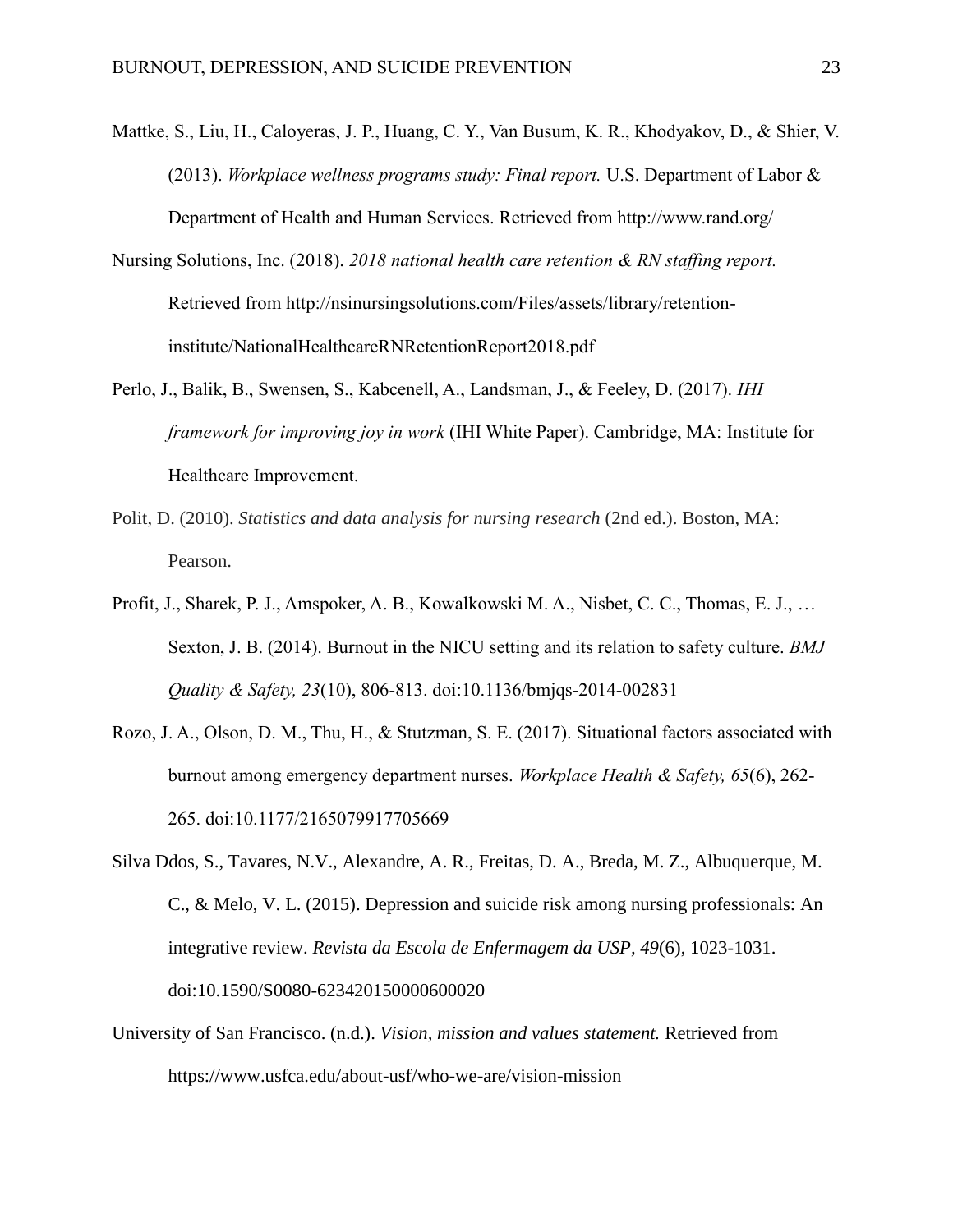- Mattke, S., Liu, H., Caloyeras, J. P., Huang, C. Y., Van Busum, K. R., Khodyakov, D., & Shier, V. (2013). *Workplace wellness programs study: Final report.* U.S. Department of Labor & Department of Health and Human Services. Retrieved from http://www.rand.org/
- Nursing Solutions, Inc. (2018). *2018 national health care retention & RN staffing report.*  Retrieved from http://nsinursingsolutions.com/Files/assets/library/retentioninstitute/NationalHealthcareRNRetentionReport2018.pdf
- Perlo, J., Balik, B., Swensen, S., Kabcenell, A., Landsman, J., & Feeley, D. (2017). *IHI framework for improving joy in work* (IHI White Paper). Cambridge, MA: Institute for Healthcare Improvement.
- Polit, D. (2010). *Statistics and data analysis for nursing research* (2nd ed.). Boston, MA: Pearson.
- Profit, J., Sharek, P. J., Amspoker, A. B., Kowalkowski M. A., Nisbet, C. C., Thomas, E. J., … Sexton, J. B. (2014). Burnout in the NICU setting and its relation to safety culture. *BMJ Quality & Safety, 23*(10), 806-813. doi:10.1136/bmjqs-2014-002831
- Rozo, J. A., Olson, D. M., Thu, H., & Stutzman, S. E. (2017). Situational factors associated with burnout among emergency department nurses. *Workplace Health & Safety, 65*(6), 262- 265. doi:10.1177/2165079917705669

Silva Ddos, S., Tavares, N.V., Alexandre, A. R., Freitas, D. A., Breda, M. Z., Albuquerque, M. C., & Melo, V. L. (2015). Depression and suicide risk among nursing professionals: An integrative review. *Revista da Escola de Enfermagem da USP, 49*(6), 1023-1031. doi:10.1590/S0080-623420150000600020

University of San Francisco. (n.d.). *Vision, mission and values statement.* Retrieved from https://www.usfca.edu/about-usf/who-we-are/vision-mission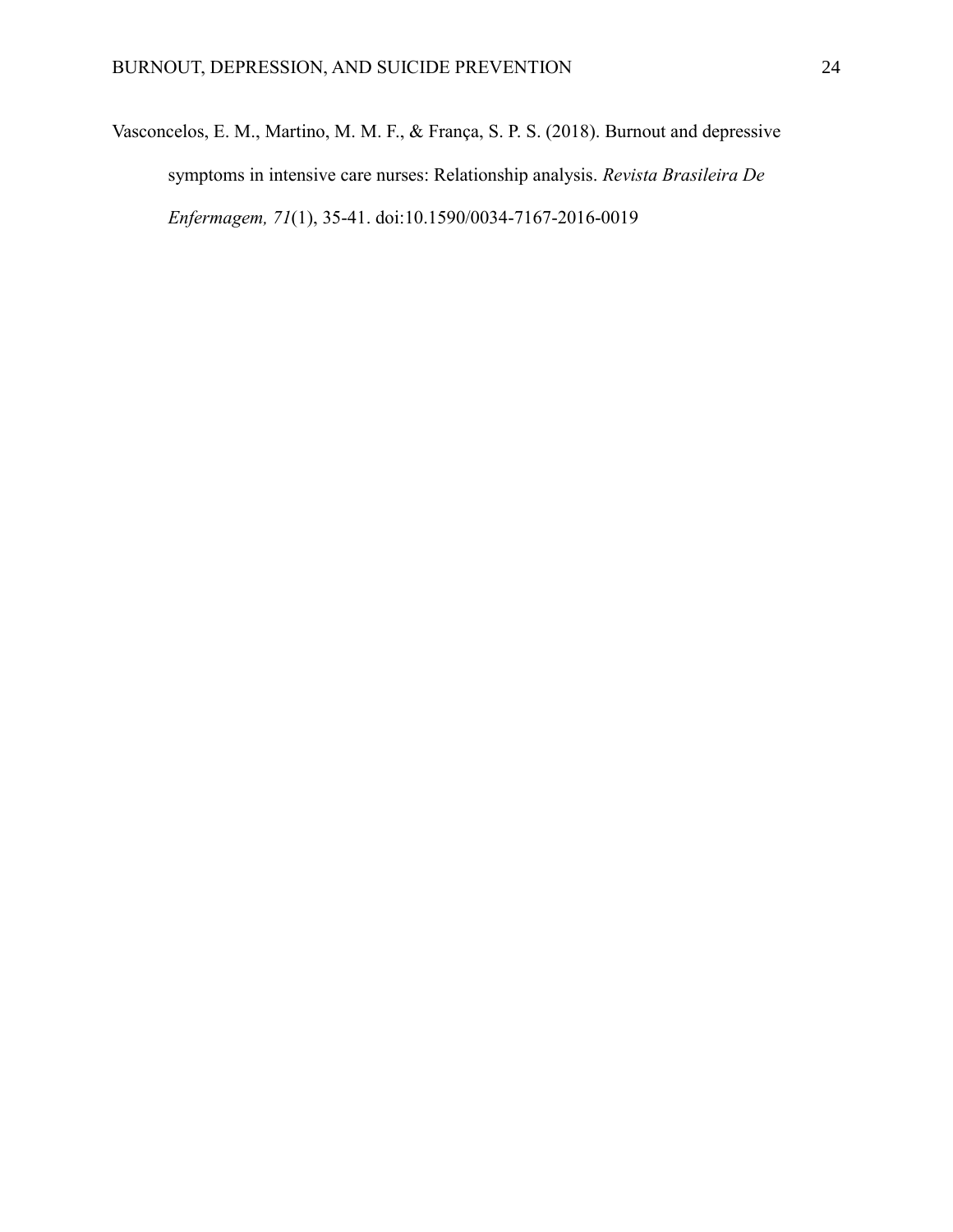Vasconcelos, E. M., Martino, M. M. F., & França, S. P. S. (2018). Burnout and depressive symptoms in intensive care nurses: Relationship analysis. *Revista Brasileira De Enfermagem, 71*(1), 35-41. doi:10.1590/0034-7167-2016-0019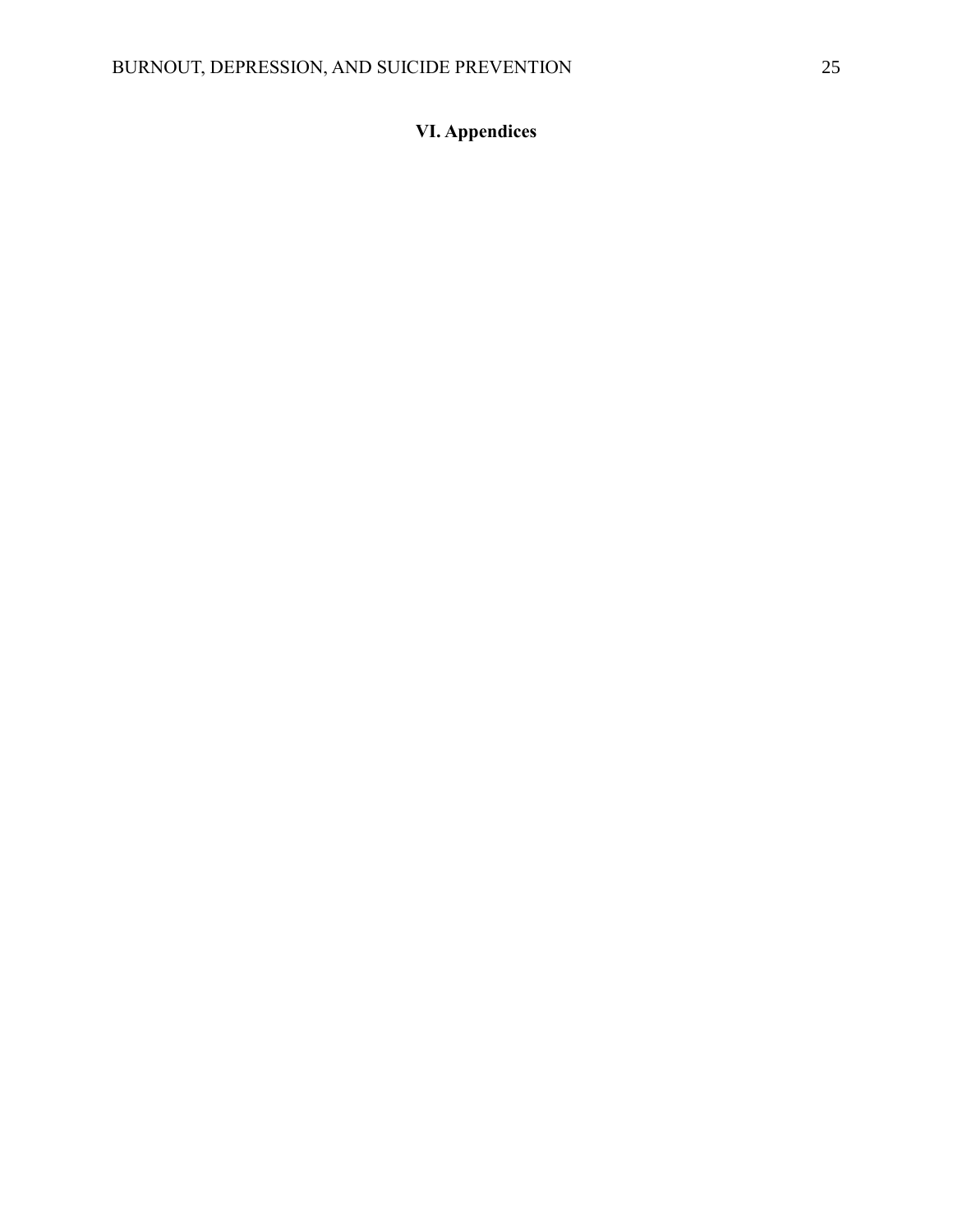# **VI. Appendices**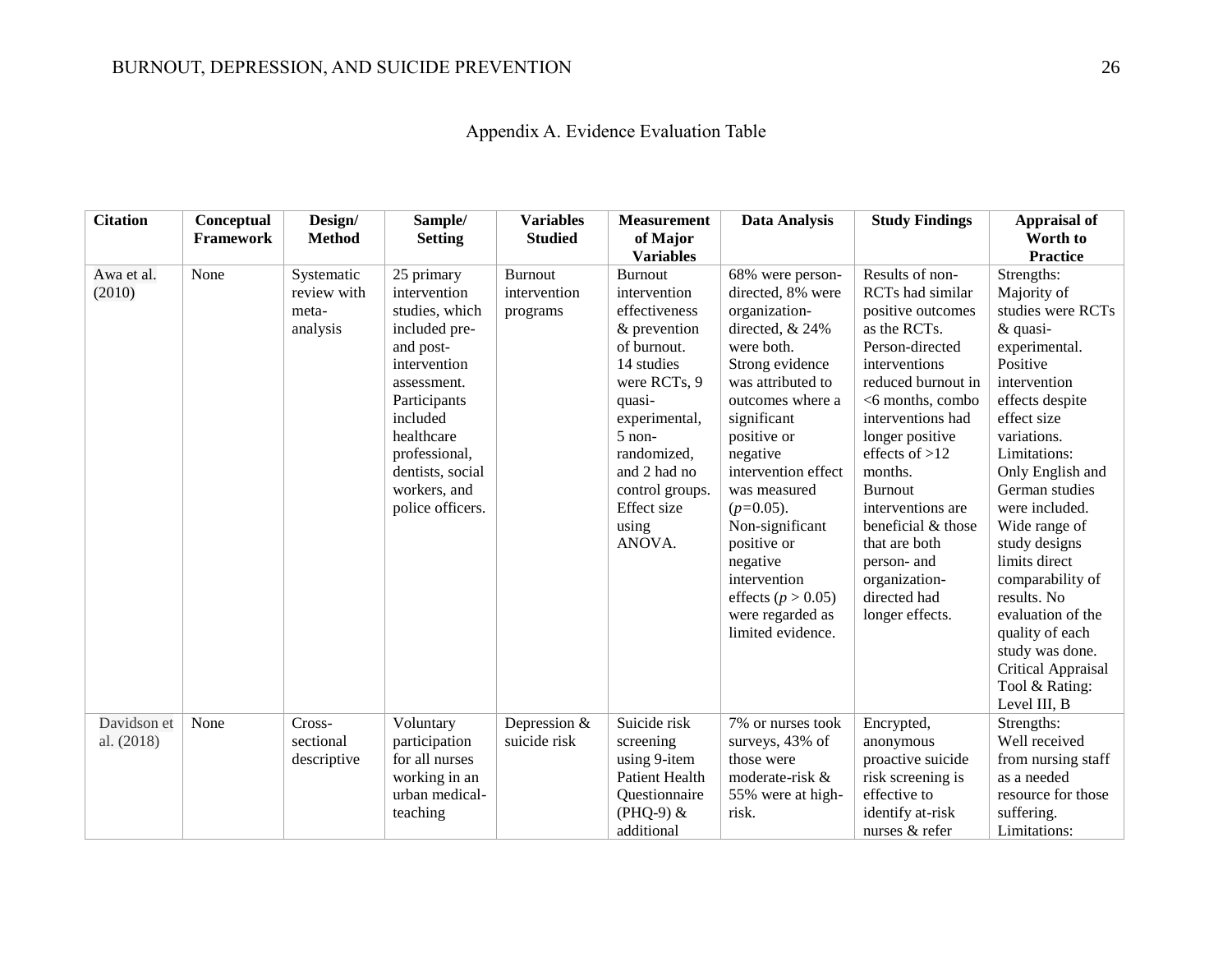| Appendix A. Evidence Evaluation Table |  |  |  |  |
|---------------------------------------|--|--|--|--|
|---------------------------------------|--|--|--|--|

| <b>Citation</b>           | Conceptual<br><b>Framework</b> | Design/<br><b>Method</b>                       | Sample/<br><b>Setting</b>                                                                                                                                                                                                    | <b>Variables</b><br><b>Studied</b>         | <b>Measurement</b><br>of Major<br><b>Variables</b>                                                                                                                                                                                             | <b>Data Analysis</b>                                                                                                                                                                                                                                                                                                                                                                  | <b>Study Findings</b>                                                                                                                                                                                                                                                                                                                                                                 | Appraisal of<br>Worth to<br><b>Practice</b>                                                                                                                                                                                                                                                                                                                                                                                                      |
|---------------------------|--------------------------------|------------------------------------------------|------------------------------------------------------------------------------------------------------------------------------------------------------------------------------------------------------------------------------|--------------------------------------------|------------------------------------------------------------------------------------------------------------------------------------------------------------------------------------------------------------------------------------------------|---------------------------------------------------------------------------------------------------------------------------------------------------------------------------------------------------------------------------------------------------------------------------------------------------------------------------------------------------------------------------------------|---------------------------------------------------------------------------------------------------------------------------------------------------------------------------------------------------------------------------------------------------------------------------------------------------------------------------------------------------------------------------------------|--------------------------------------------------------------------------------------------------------------------------------------------------------------------------------------------------------------------------------------------------------------------------------------------------------------------------------------------------------------------------------------------------------------------------------------------------|
| Awa et al.<br>(2010)      | None                           | Systematic<br>review with<br>meta-<br>analysis | 25 primary<br>intervention<br>studies, which<br>included pre-<br>and post-<br>intervention<br>assessment.<br>Participants<br>included<br>healthcare<br>professional,<br>dentists, social<br>workers, and<br>police officers. | <b>Burnout</b><br>intervention<br>programs | <b>Burnout</b><br>intervention<br>effectiveness<br>& prevention<br>of burnout.<br>14 studies<br>were RCTs, 9<br>quasi-<br>experimental,<br>$5$ non-<br>randomized,<br>and 2 had no<br>control groups.<br><b>Effect</b> size<br>using<br>ANOVA. | 68% were person-<br>directed, 8% were<br>organization-<br>directed, & 24%<br>were both.<br>Strong evidence<br>was attributed to<br>outcomes where a<br>significant<br>positive or<br>negative<br>intervention effect<br>was measured<br>$(p=0.05)$ .<br>Non-significant<br>positive or<br>negative<br>intervention<br>effects ( $p > 0.05$ )<br>were regarded as<br>limited evidence. | Results of non-<br><b>RCTs</b> had similar<br>positive outcomes<br>as the RCTs.<br>Person-directed<br>interventions<br>reduced burnout in<br><6 months, combo<br>interventions had<br>longer positive<br>effects of $>12$<br>months.<br><b>Burnout</b><br>interventions are<br>beneficial & those<br>that are both<br>person- and<br>organization-<br>directed had<br>longer effects. | Strengths:<br>Majority of<br>studies were RCTs<br>& quasi-<br>experimental.<br>Positive<br>intervention<br>effects despite<br>effect size<br>variations.<br>Limitations:<br>Only English and<br>German studies<br>were included.<br>Wide range of<br>study designs<br>limits direct<br>comparability of<br>results. No<br>evaluation of the<br>quality of each<br>study was done.<br><b>Critical Appraisal</b><br>Tool & Rating:<br>Level III, B |
| Davidson et<br>al. (2018) | None                           | Cross-<br>sectional<br>descriptive             | Voluntary<br>participation<br>for all nurses<br>working in an<br>urban medical-<br>teaching                                                                                                                                  | Depression &<br>suicide risk               | Suicide risk<br>screening<br>using 9-item<br><b>Patient Health</b><br>Questionnaire<br>$(PHQ-9)$ &<br>additional                                                                                                                               | 7% or nurses took<br>surveys, 43% of<br>those were<br>moderate-risk &<br>55% were at high-<br>risk.                                                                                                                                                                                                                                                                                   | Encrypted,<br>anonymous<br>proactive suicide<br>risk screening is<br>effective to<br>identify at-risk<br>nurses & refer                                                                                                                                                                                                                                                               | Strengths:<br>Well received<br>from nursing staff<br>as a needed<br>resource for those<br>suffering.<br>Limitations:                                                                                                                                                                                                                                                                                                                             |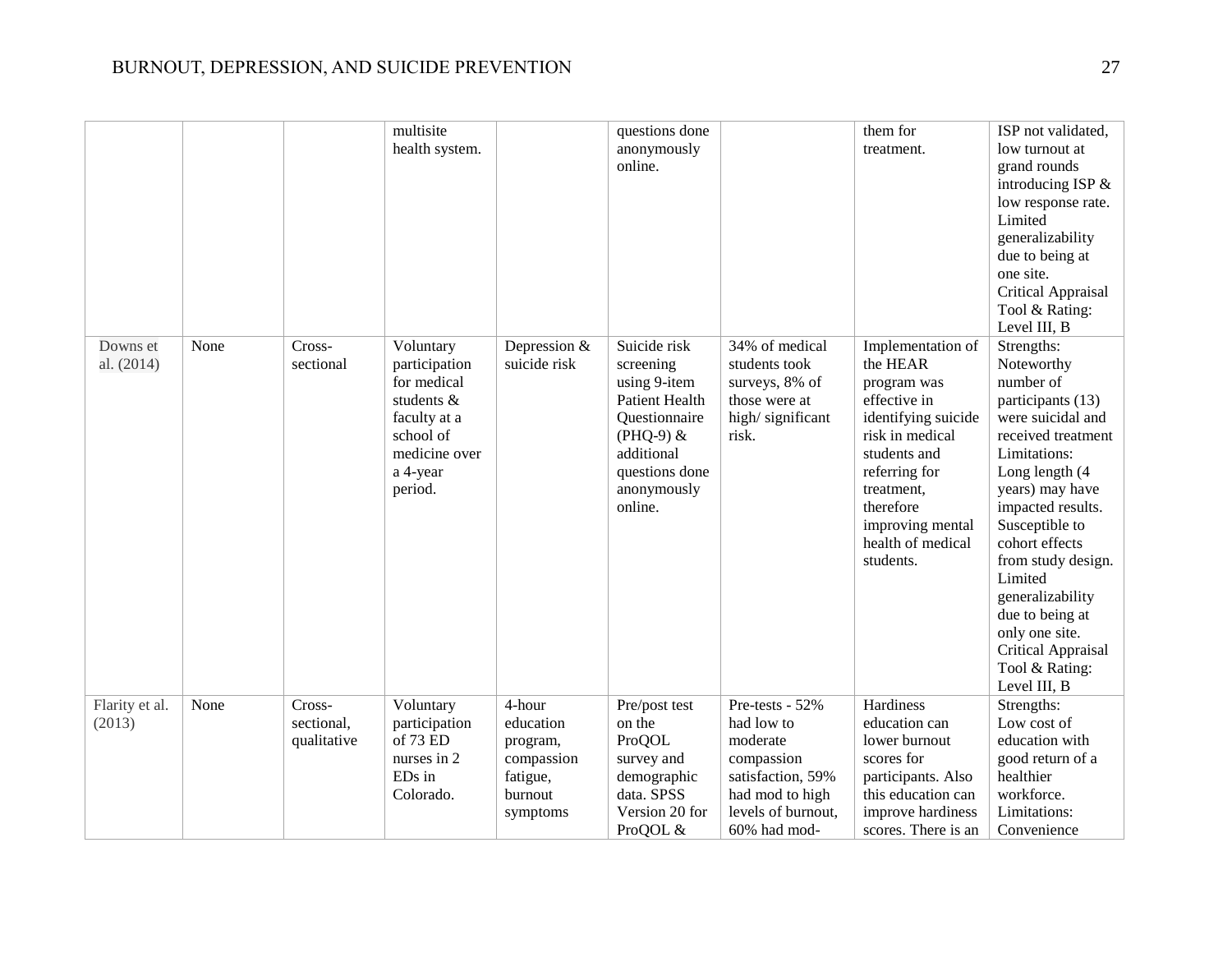|                          |      |                                     | multisite<br>health system.                                                                                                  |                                                                                  | questions done<br>anonymously<br>online.                                                                                                                     |                                                                                                                       | them for<br>treatment.                                                                                                                                                                                                   | ISP not validated,<br>low turnout at<br>grand rounds<br>introducing ISP &<br>low response rate.<br>Limited<br>generalizability<br>due to being at<br>one site.<br>Critical Appraisal<br>Tool & Rating:<br>Level III, B                                                                                                                                                       |
|--------------------------|------|-------------------------------------|------------------------------------------------------------------------------------------------------------------------------|----------------------------------------------------------------------------------|--------------------------------------------------------------------------------------------------------------------------------------------------------------|-----------------------------------------------------------------------------------------------------------------------|--------------------------------------------------------------------------------------------------------------------------------------------------------------------------------------------------------------------------|------------------------------------------------------------------------------------------------------------------------------------------------------------------------------------------------------------------------------------------------------------------------------------------------------------------------------------------------------------------------------|
| Downs et<br>al. (2014)   | None | Cross-<br>sectional                 | Voluntary<br>participation<br>for medical<br>students &<br>faculty at a<br>school of<br>medicine over<br>a 4-year<br>period. | Depression &<br>suicide risk                                                     | Suicide risk<br>screening<br>using 9-item<br><b>Patient Health</b><br>Questionnaire<br>$(PHQ-9)$ &<br>additional<br>questions done<br>anonymously<br>online. | 34% of medical<br>students took<br>surveys, 8% of<br>those were at<br>high/significant<br>risk.                       | Implementation of<br>the HEAR<br>program was<br>effective in<br>identifying suicide<br>risk in medical<br>students and<br>referring for<br>treatment,<br>therefore<br>improving mental<br>health of medical<br>students. | Strengths:<br>Noteworthy<br>number of<br>participants (13)<br>were suicidal and<br>received treatment<br>Limitations:<br>Long length (4<br>years) may have<br>impacted results.<br>Susceptible to<br>cohort effects<br>from study design.<br>Limited<br>generalizability<br>due to being at<br>only one site.<br><b>Critical Appraisal</b><br>Tool & Rating:<br>Level III, B |
| Flarity et al.<br>(2013) | None | Cross-<br>sectional,<br>qualitative | Voluntary<br>participation<br>of 73 ED<br>nurses in 2<br>ED <sub>s</sub> in<br>Colorado.                                     | 4-hour<br>education<br>program,<br>compassion<br>fatigue,<br>burnout<br>symptoms | Pre/post test<br>on the<br>ProQOL<br>survey and<br>demographic<br>data. SPSS<br>Version 20 for                                                               | Pre-tests - 52%<br>had low to<br>moderate<br>compassion<br>satisfaction, 59%<br>had mod to high<br>levels of burnout, | Hardiness<br>education can<br>lower burnout<br>scores for<br>participants. Also<br>this education can<br>improve hardiness                                                                                               | Strengths:<br>Low cost of<br>education with<br>good return of a<br>healthier<br>workforce.<br>Limitations:                                                                                                                                                                                                                                                                   |
|                          |      |                                     |                                                                                                                              |                                                                                  | ProQOL &                                                                                                                                                     | 60% had mod-                                                                                                          | scores. There is an                                                                                                                                                                                                      | Convenience                                                                                                                                                                                                                                                                                                                                                                  |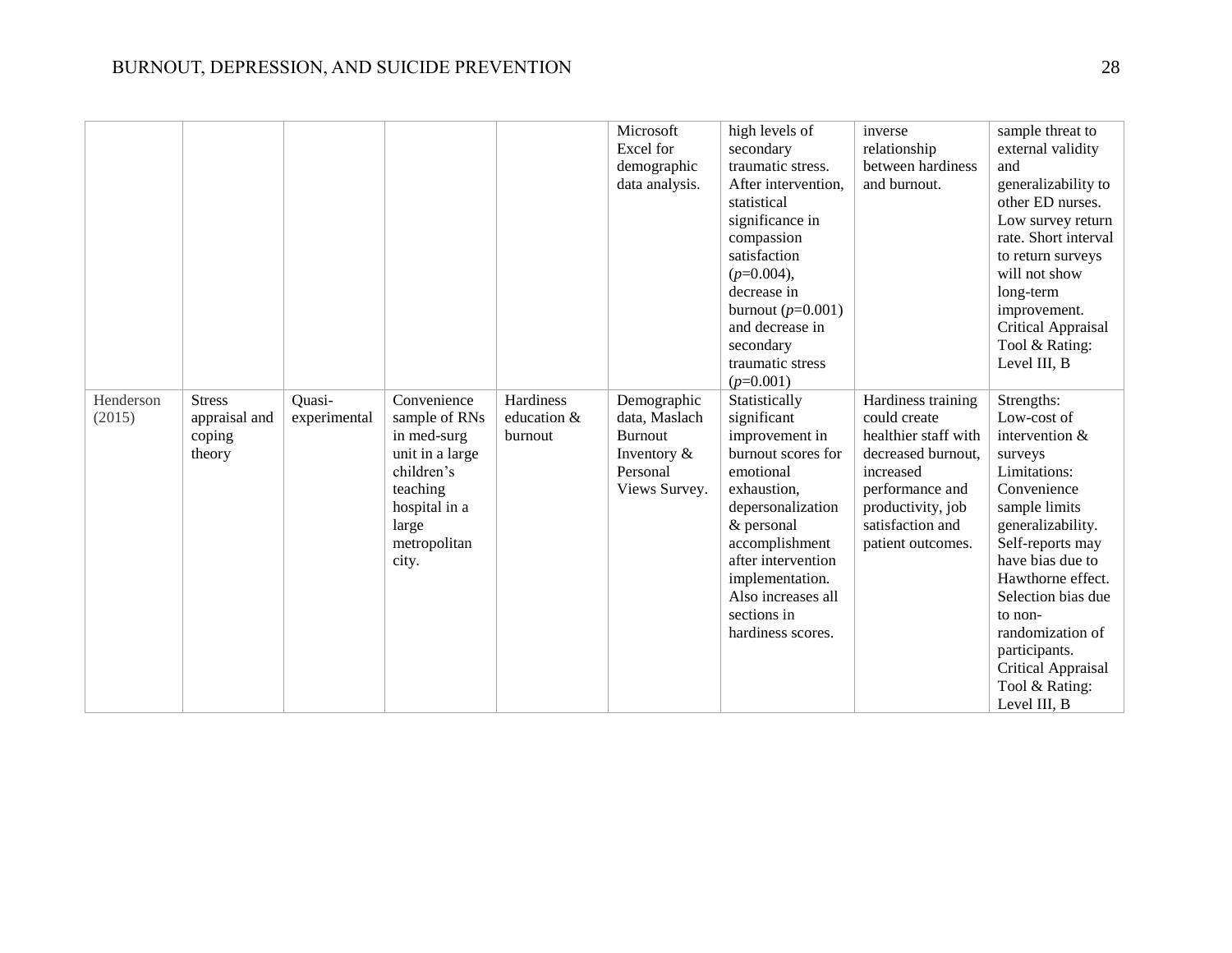|                     |                                                    |                        |                                                                                                                                             |                                     | Microsoft<br>Excel for<br>demographic<br>data analysis.                                       | high levels of<br>secondary<br>traumatic stress.<br>After intervention,<br>statistical<br>significance in<br>compassion<br>satisfaction<br>$(p=0.004),$<br>decrease in<br>burnout $(p=0.001)$<br>and decrease in<br>secondary<br>traumatic stress<br>$(p=0.001)$ | inverse<br>relationship<br>between hardiness<br>and burnout.                                                                                                                   | sample threat to<br>external validity<br>and<br>generalizability to<br>other ED nurses.<br>Low survey return<br>rate. Short interval<br>to return surveys<br>will not show<br>long-term<br>improvement.<br><b>Critical Appraisal</b><br>Tool & Rating:<br>Level III, B                                                          |
|---------------------|----------------------------------------------------|------------------------|---------------------------------------------------------------------------------------------------------------------------------------------|-------------------------------------|-----------------------------------------------------------------------------------------------|------------------------------------------------------------------------------------------------------------------------------------------------------------------------------------------------------------------------------------------------------------------|--------------------------------------------------------------------------------------------------------------------------------------------------------------------------------|---------------------------------------------------------------------------------------------------------------------------------------------------------------------------------------------------------------------------------------------------------------------------------------------------------------------------------|
| Henderson<br>(2015) | <b>Stress</b><br>appraisal and<br>coping<br>theory | Quasi-<br>experimental | Convenience<br>sample of RNs<br>in med-surg<br>unit in a large<br>children's<br>teaching<br>hospital in a<br>large<br>metropolitan<br>city. | Hardiness<br>education &<br>burnout | Demographic<br>data, Maslach<br><b>Burnout</b><br>Inventory $\&$<br>Personal<br>Views Survey. | Statistically<br>significant<br>improvement in<br>burnout scores for<br>emotional<br>exhaustion,<br>depersonalization<br>& personal<br>accomplishment<br>after intervention<br>implementation.<br>Also increases all<br>sections in<br>hardiness scores.         | Hardiness training<br>could create<br>healthier staff with<br>decreased burnout.<br>increased<br>performance and<br>productivity, job<br>satisfaction and<br>patient outcomes. | Strengths:<br>Low-cost of<br>intervention $&$<br>surveys<br>Limitations:<br>Convenience<br>sample limits<br>generalizability.<br>Self-reports may<br>have bias due to<br>Hawthorne effect.<br>Selection bias due<br>to non-<br>randomization of<br>participants.<br><b>Critical Appraisal</b><br>Tool & Rating:<br>Level III, B |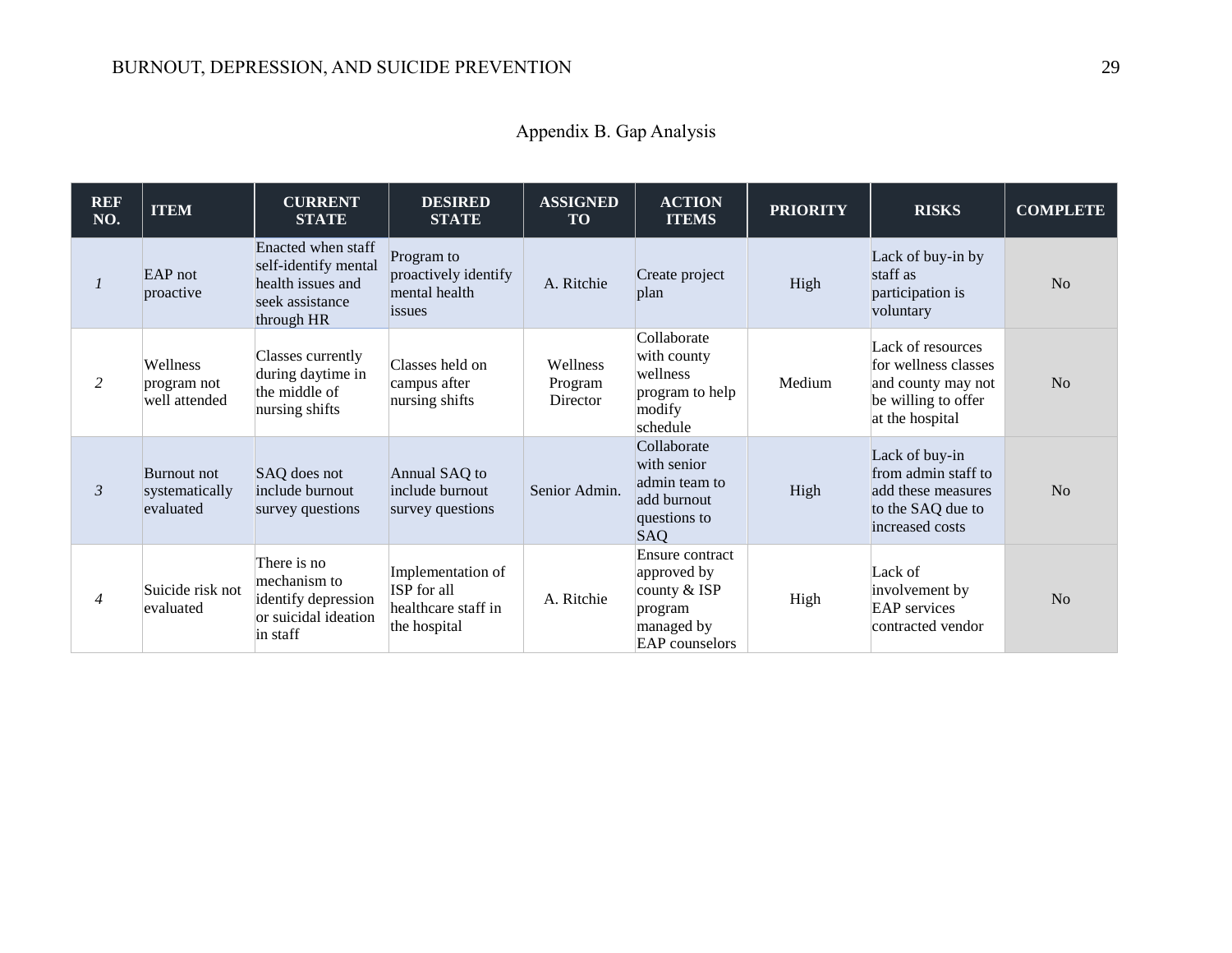| <b>REF</b><br>NO. | <b>ITEM</b>                                | <b>CURRENT</b><br><b>STATE</b>                                                                   | <b>DESIRED</b><br><b>STATE</b>                                          | <b>ASSIGNED</b><br><b>TO</b>    | <b>ACTION</b><br><b>ITEMS</b>                                                                      | <b>PRIORITY</b> | <b>RISKS</b>                                                                                              | <b>COMPLETE</b> |
|-------------------|--------------------------------------------|--------------------------------------------------------------------------------------------------|-------------------------------------------------------------------------|---------------------------------|----------------------------------------------------------------------------------------------------|-----------------|-----------------------------------------------------------------------------------------------------------|-----------------|
|                   | EAP not<br>proactive                       | Enacted when staff<br>self-identify mental<br>health issues and<br>seek assistance<br>through HR | Program to<br>proactively identify<br>mental health<br>issues           | A. Ritchie                      | Create project<br>plan                                                                             | High            | Lack of buy-in by<br>staff as<br>participation is<br>voluntary                                            | No              |
| 2                 | Wellness<br>program not<br>well attended   | Classes currently<br>during daytime in<br>the middle of<br>nursing shifts                        | Classes held on<br>campus after<br>nursing shifts                       | Wellness<br>Program<br>Director | Collaborate<br>with county<br>wellness<br>program to help<br>modify<br>schedule                    | Medium          | Lack of resources<br>for wellness classes<br>and county may not<br>be willing to offer<br>at the hospital | No              |
| $\mathfrak{Z}$    | Burnout not<br>systematically<br>evaluated | SAQ does not<br>include burnout<br>survey questions                                              | Annual SAQ to<br>include burnout<br>survey questions                    | Senior Admin.                   | Collaborate<br>with senior<br>admin team to<br>add burnout<br>questions to<br><b>SAQ</b>           | High            | Lack of buy-in<br>from admin staff to<br>add these measures<br>to the SAQ due to<br>increased costs       | N <sub>o</sub>  |
| $\overline{4}$    | Suicide risk not<br>evaluated              | There is no<br>mechanism to<br>identify depression<br>or suicidal ideation<br>in staff           | Implementation of<br>ISP for all<br>healthcare staff in<br>the hospital | A. Ritchie                      | Ensure contract<br>approved by<br>county $&$ ISP<br>program<br>managed by<br><b>EAP</b> counselors | High            | Lack of<br>involvement by<br><b>EAP</b> services<br>contracted vendor                                     | No              |

Appendix B. Gap Analysis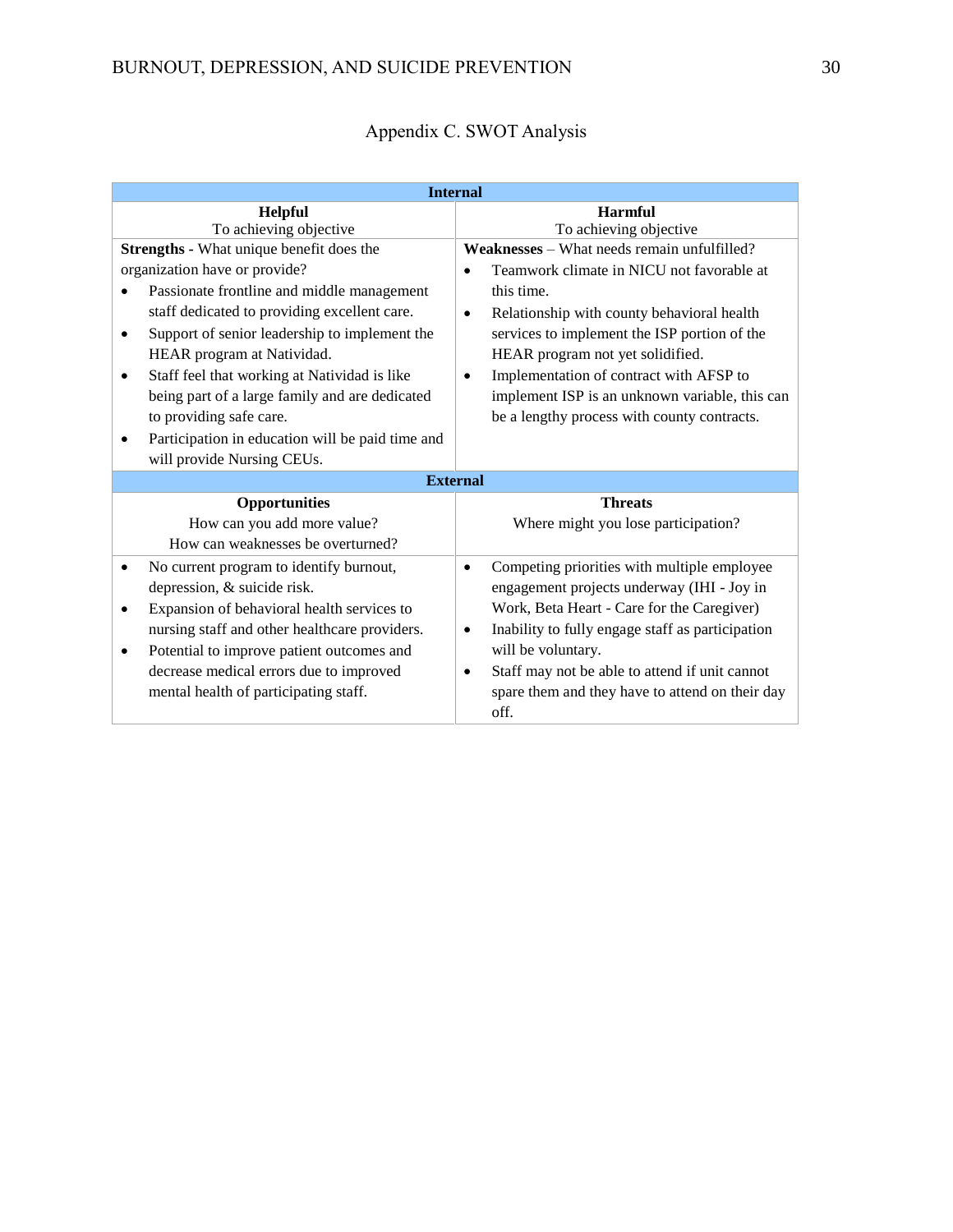| <b>Internal</b>                                            |                                                               |
|------------------------------------------------------------|---------------------------------------------------------------|
| Helpful                                                    | <b>Harmful</b>                                                |
| To achieving objective                                     | To achieving objective                                        |
| Strengths - What unique benefit does the                   | <b>Weaknesses</b> – What needs remain unfulfilled?            |
| organization have or provide?                              | Teamwork climate in NICU not favorable at<br>$\bullet$        |
| Passionate frontline and middle management                 | this time.                                                    |
| staff dedicated to providing excellent care.               | Relationship with county behavioral health<br>$\bullet$       |
| Support of senior leadership to implement the<br>$\bullet$ | services to implement the ISP portion of the                  |
| HEAR program at Natividad.                                 | HEAR program not yet solidified.                              |
| Staff feel that working at Natividad is like<br>$\bullet$  | Implementation of contract with AFSP to<br>$\bullet$          |
| being part of a large family and are dedicated             | implement ISP is an unknown variable, this can                |
| to providing safe care.                                    | be a lengthy process with county contracts.                   |
| Participation in education will be paid time and           |                                                               |
| will provide Nursing CEUs.                                 |                                                               |
| <b>External</b>                                            |                                                               |
| <b>Opportunities</b>                                       | <b>Threats</b>                                                |
| How can you add more value?                                | Where might you lose participation?                           |
| How can weaknesses be overturned?                          |                                                               |
| No current program to identify burnout,<br>$\bullet$       | Competing priorities with multiple employee<br>$\bullet$      |
| depression, & suicide risk.                                | engagement projects underway (IHI - Joy in                    |
| Expansion of behavioral health services to<br>$\bullet$    | Work, Beta Heart - Care for the Caregiver)                    |
| nursing staff and other healthcare providers.              | Inability to fully engage staff as participation<br>$\bullet$ |
| Potential to improve patient outcomes and<br>$\bullet$     | will be voluntary.                                            |
| decrease medical errors due to improved                    | Staff may not be able to attend if unit cannot<br>$\bullet$   |
| mental health of participating staff.                      | spare them and they have to attend on their day               |
|                                                            | off.                                                          |

# Appendix C. SWOT Analysis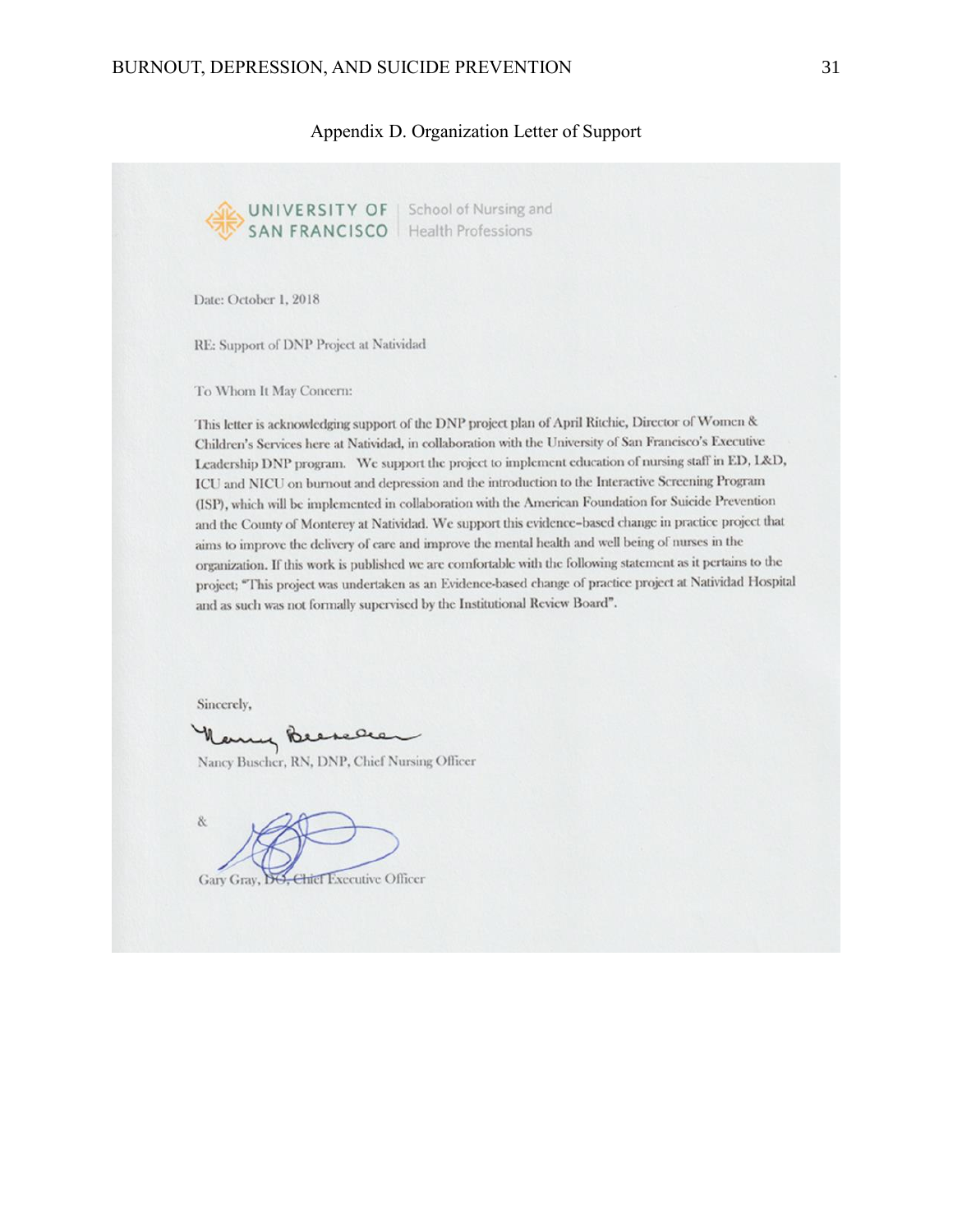#### Appendix D. Organization Letter of Support



Gary Gray, DO, Chief Executive Officer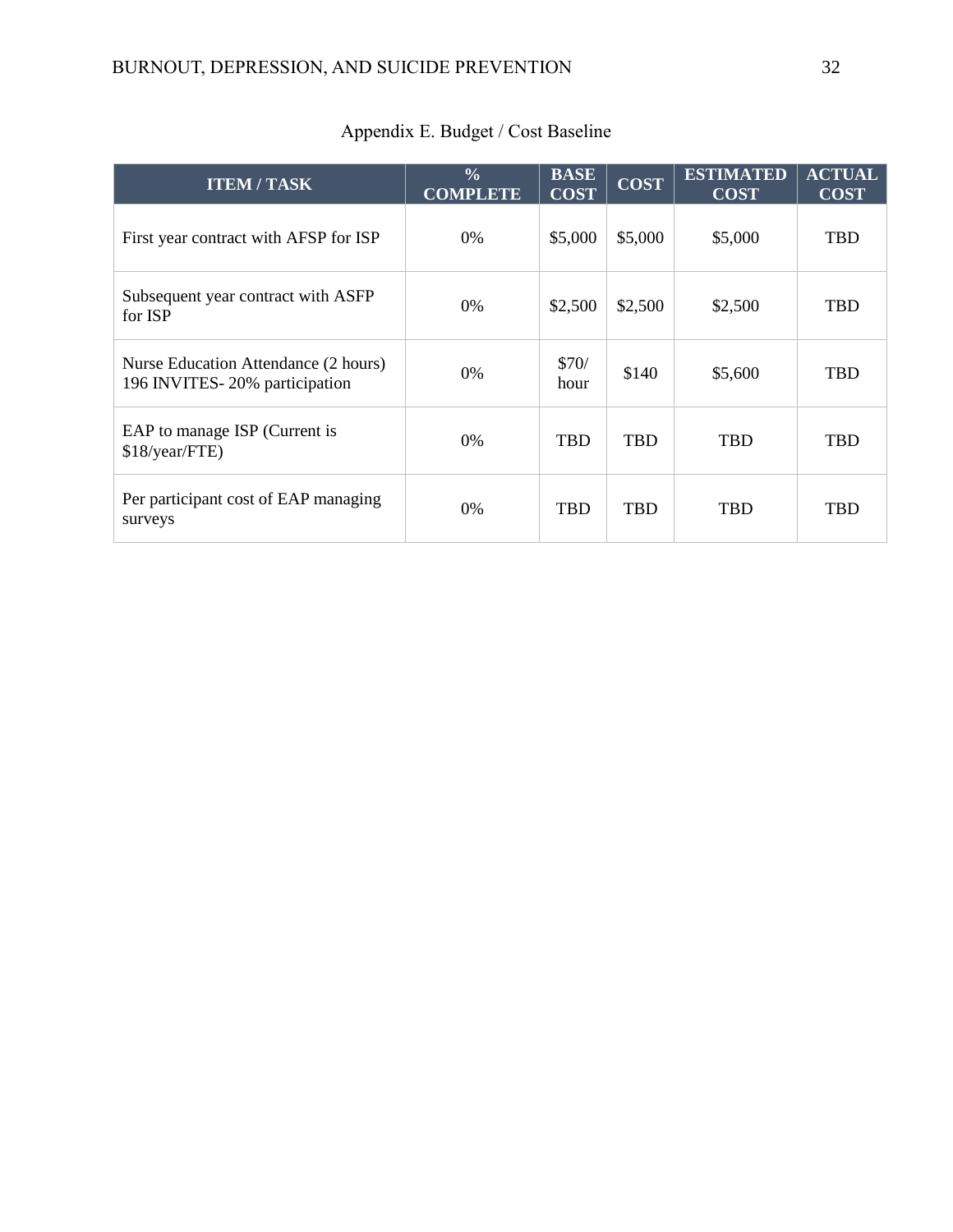| <b>ITEM / TASK</b>                                                    | $\frac{0}{0}$<br><b>COMPLETE</b> | <b>BASE</b><br><b>COST</b> | $\overline{\mathrm{COST}}$ | <b>ESTIMATED</b><br><b>COST</b> | <b>ACTUAL</b><br><b>COST</b> |
|-----------------------------------------------------------------------|----------------------------------|----------------------------|----------------------------|---------------------------------|------------------------------|
| First year contract with AFSP for ISP                                 | $0\%$                            | \$5,000                    | \$5,000                    | \$5,000                         | <b>TBD</b>                   |
| Subsequent year contract with ASFP<br>for ISP                         | $0\%$                            | \$2,500                    | \$2,500                    | \$2,500                         | <b>TBD</b>                   |
| Nurse Education Attendance (2 hours)<br>196 INVITES-20% participation | $0\%$                            | \$70/<br>hour              | \$140                      | \$5,600                         | <b>TBD</b>                   |
| EAP to manage ISP (Current is<br>\$18/year/FTE)                       | $0\%$                            | <b>TBD</b>                 | <b>TBD</b>                 | <b>TBD</b>                      | <b>TBD</b>                   |
| Per participant cost of EAP managing<br>surveys                       | $0\%$                            | <b>TBD</b>                 | <b>TBD</b>                 | <b>TBD</b>                      | <b>TBD</b>                   |

# Appendix E. Budget / Cost Baseline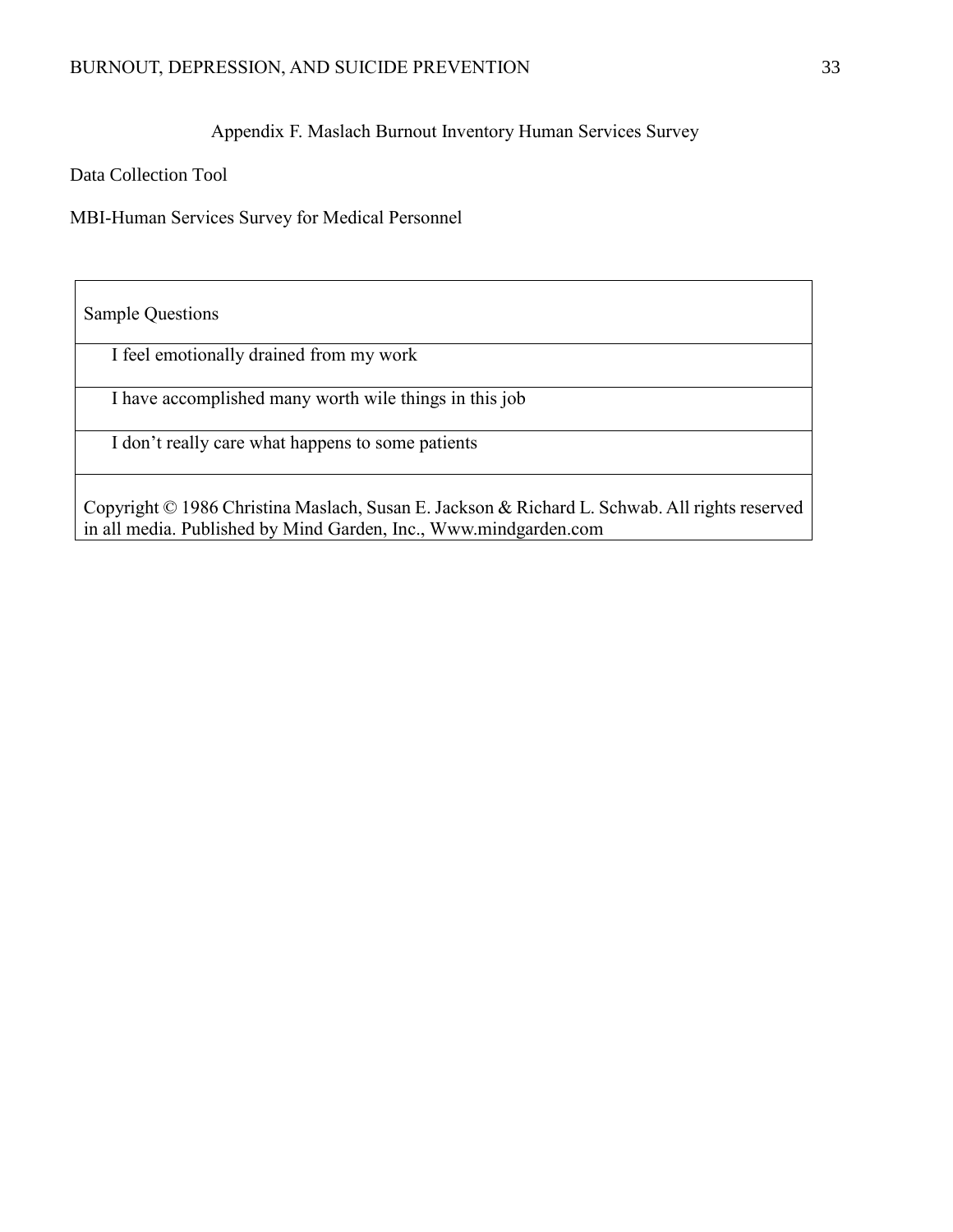Appendix F. Maslach Burnout Inventory Human Services Survey

Data Collection Tool

MBI-Human Services Survey for Medical Personnel

Sample Questions

I feel emotionally drained from my work

I have accomplished many worth wile things in this job

I don't really care what happens to some patients

Copyright © 1986 Christina Maslach, Susan E. Jackson & Richard L. Schwab. All rights reserved in all media. Published by Mind Garden, Inc., Www.mindgarden.com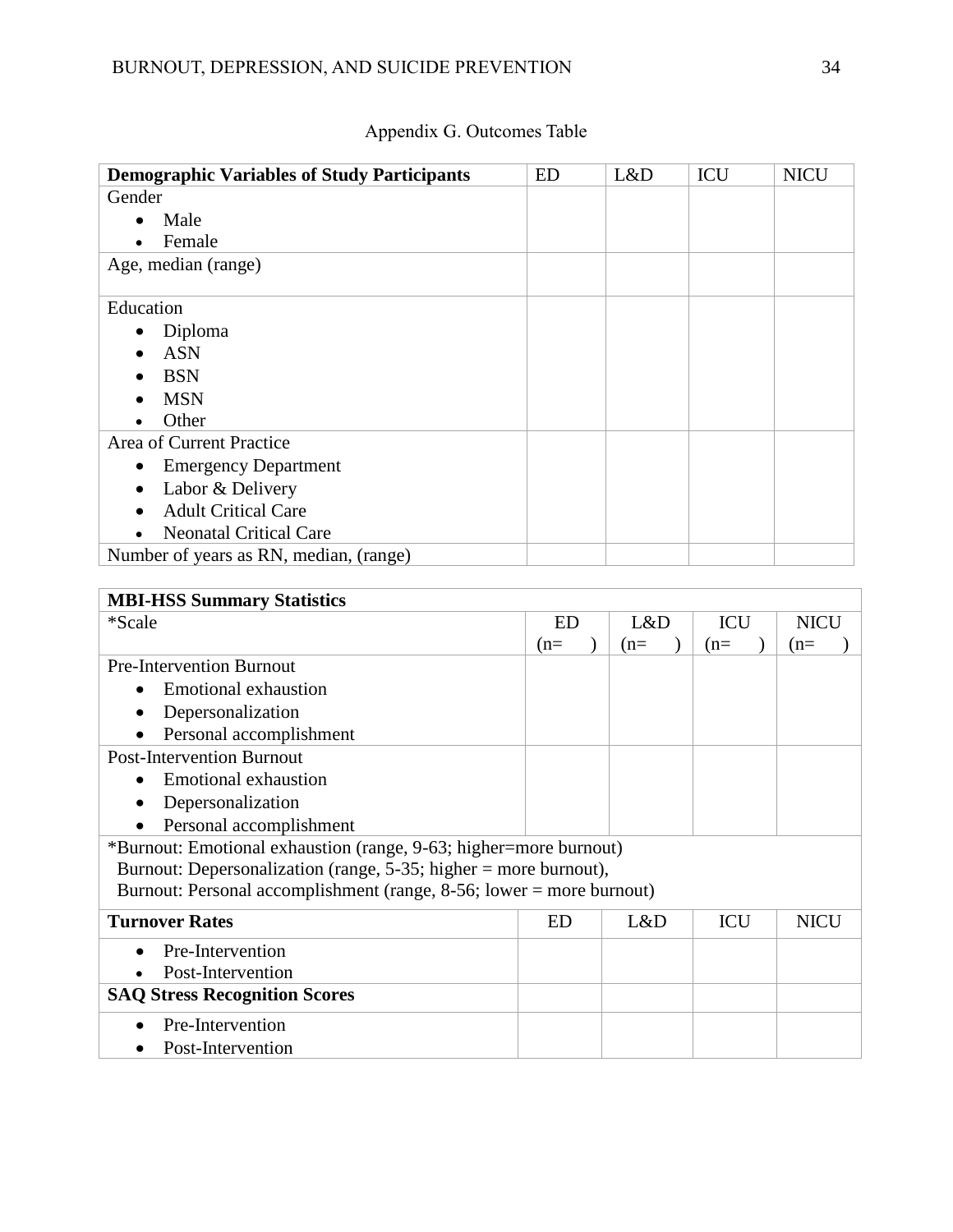| <b>Demographic Variables of Study Participants</b> | <b>ED</b> | L&D | <b>ICU</b> | <b>NICU</b> |
|----------------------------------------------------|-----------|-----|------------|-------------|
| Gender                                             |           |     |            |             |
| Male                                               |           |     |            |             |
| Female                                             |           |     |            |             |
| Age, median (range)                                |           |     |            |             |
| Education                                          |           |     |            |             |
| Diploma                                            |           |     |            |             |
| <b>ASN</b>                                         |           |     |            |             |
| <b>BSN</b>                                         |           |     |            |             |
| <b>MSN</b>                                         |           |     |            |             |
| Other                                              |           |     |            |             |
| Area of Current Practice                           |           |     |            |             |
| <b>Emergency Department</b>                        |           |     |            |             |
| Labor & Delivery                                   |           |     |            |             |
| <b>Adult Critical Care</b>                         |           |     |            |             |
| <b>Neonatal Critical Care</b>                      |           |     |            |             |
| Number of years as RN, median, (range)             |           |     |            |             |

| <b>MBI-HSS Summary Statistics</b>                                    |           |       |            |             |
|----------------------------------------------------------------------|-----------|-------|------------|-------------|
| *Scale                                                               | <b>ED</b> | L&D   | <b>ICU</b> | <b>NICU</b> |
|                                                                      | $(n=$     | $(n=$ | $(n=$      | $(n=$       |
| <b>Pre-Intervention Burnout</b>                                      |           |       |            |             |
| Emotional exhaustion                                                 |           |       |            |             |
| Depersonalization                                                    |           |       |            |             |
| Personal accomplishment                                              |           |       |            |             |
| <b>Post-Intervention Burnout</b>                                     |           |       |            |             |
| <b>Emotional exhaustion</b>                                          |           |       |            |             |
| Depersonalization                                                    |           |       |            |             |
| Personal accomplishment                                              |           |       |            |             |
| *Burnout: Emotional exhaustion (range, 9-63; higher=more burnout)    |           |       |            |             |
| Burnout: Depersonalization (range, $5-35$ ; higher = more burnout),  |           |       |            |             |
| Burnout: Personal accomplishment (range, 8-56; lower = more burnout) |           |       |            |             |
| <b>Turnover Rates</b>                                                | <b>ED</b> | L&D   | <b>ICU</b> | <b>NICU</b> |
| Pre-Intervention                                                     |           |       |            |             |
| Post-Intervention                                                    |           |       |            |             |
| <b>SAQ Stress Recognition Scores</b>                                 |           |       |            |             |
| Pre-Intervention                                                     |           |       |            |             |

• Post-Intervention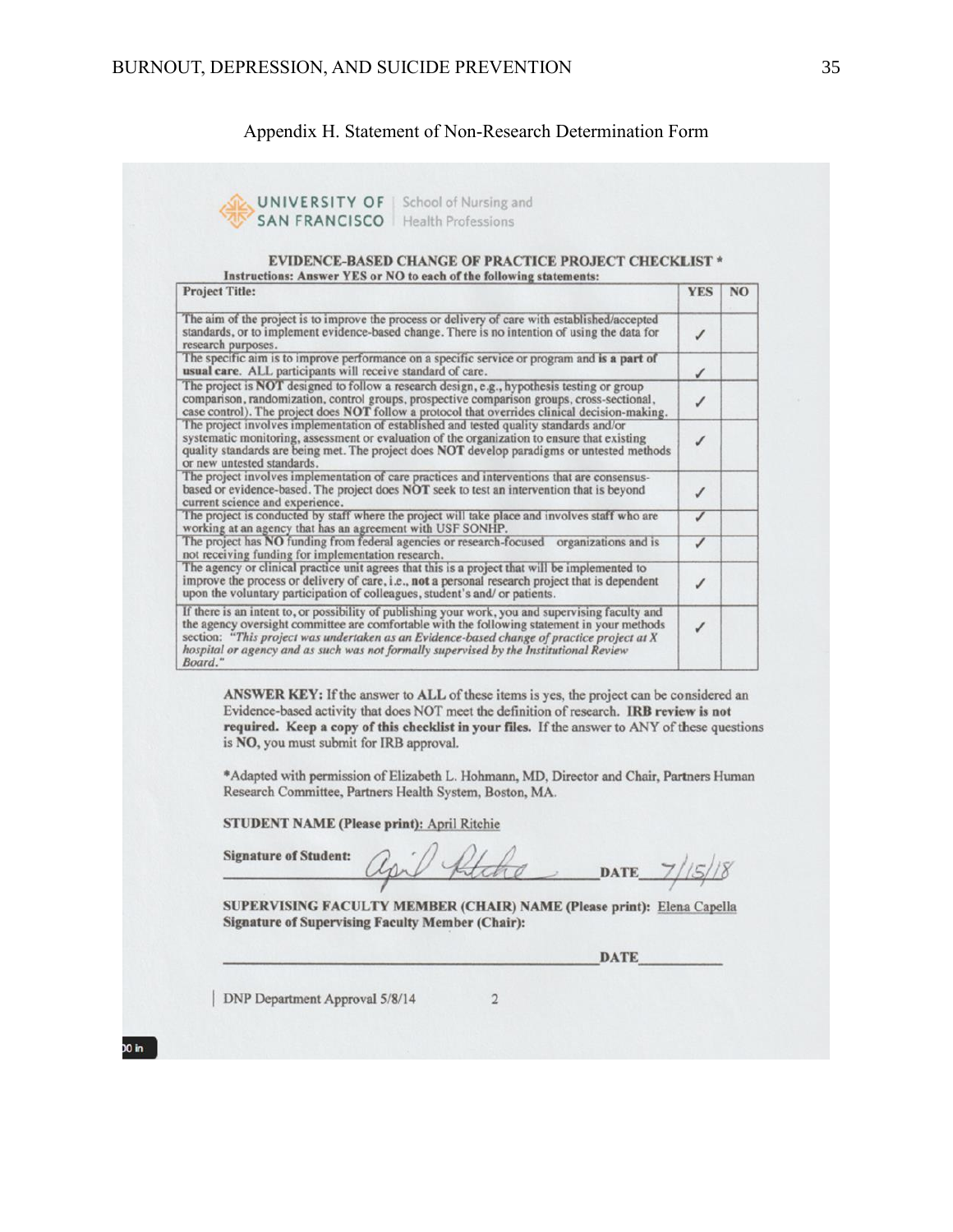# Appendix H. Statement of Non-Research Determination Form

| <b>Project Title:</b>                                                                                                                                                                                                                                                                                                              | <b>YES</b> | N <sub>O</sub> |  |  |  |
|------------------------------------------------------------------------------------------------------------------------------------------------------------------------------------------------------------------------------------------------------------------------------------------------------------------------------------|------------|----------------|--|--|--|
|                                                                                                                                                                                                                                                                                                                                    |            |                |  |  |  |
| The aim of the project is to improve the process or delivery of care with established/accepted<br>standards, or to implement evidence-based change. There is no intention of using the data for<br>research purposes.                                                                                                              |            |                |  |  |  |
| The specific aim is to improve performance on a specific service or program and is a part of<br>usual care. ALL participants will receive standard of care.                                                                                                                                                                        |            |                |  |  |  |
| The project is NOT designed to follow a research design, e.g., hypothesis testing or group<br>comparison, randomization, control groups, prospective comparison groups, cross-sectional,<br>case control). The project does NOT follow a protocol that overrides clinical decision-making.                                         |            |                |  |  |  |
| The project involves implementation of established and tested quality standards and/or<br>systematic monitoring, assessment or evaluation of the organization to ensure that existing<br>quality standards are being met. The project does NOT develop paradigms or untested methods<br>or new untested standards.                 |            |                |  |  |  |
| The project involves implementation of care practices and interventions that are consensus-<br>based or evidence-based. The project does NOT seek to test an intervention that is beyond<br>current science and experience.                                                                                                        |            |                |  |  |  |
| The project is conducted by staff where the project will take place and involves staff who are<br>working at an agency that has an agreement with USF SONHP.                                                                                                                                                                       |            |                |  |  |  |
| The project has NO funding from federal agencies or research-focused organizations and is<br>not receiving funding for implementation research.                                                                                                                                                                                    |            |                |  |  |  |
| The agency or clinical practice unit agrees that this is a project that will be implemented to<br>improve the process or delivery of care, i.e., not a personal research project that is dependent<br>upon the voluntary participation of colleagues, student's and/ or patients.                                                  |            |                |  |  |  |
| If there is an intent to, or possibility of publishing your work, you and supervising faculty and<br>the agency oversight committee are comfortable with the following statement in your methods                                                                                                                                   |            |                |  |  |  |
| section: "This project was undertaken as an Evidence-based change of practice project at X<br>hospital or agency and as such was not formally supervised by the Institutional Review<br>Board."                                                                                                                                    |            |                |  |  |  |
| ANSWER KEY: If the answer to ALL of these items is yes, the project can be considered an<br>Evidence-based activity that does NOT meet the definition of research. IRB review is not<br>required. Keep a copy of this checklist in your files. If the answer to ANY of these questions<br>is NO, you must submit for IRB approval. |            |                |  |  |  |
| *Adapted with permission of Elizabeth L. Hohmann, MD, Director and Chair, Partners Human<br>Research Committee, Partners Health System, Boston, MA.                                                                                                                                                                                |            |                |  |  |  |
| STUDENT NAME (Please print): April Ritchie                                                                                                                                                                                                                                                                                         |            |                |  |  |  |

 $\sqrt{2}$ 

| DNP Department Approval 5/8/14

 $\overline{10}$  in  $\overline{10}$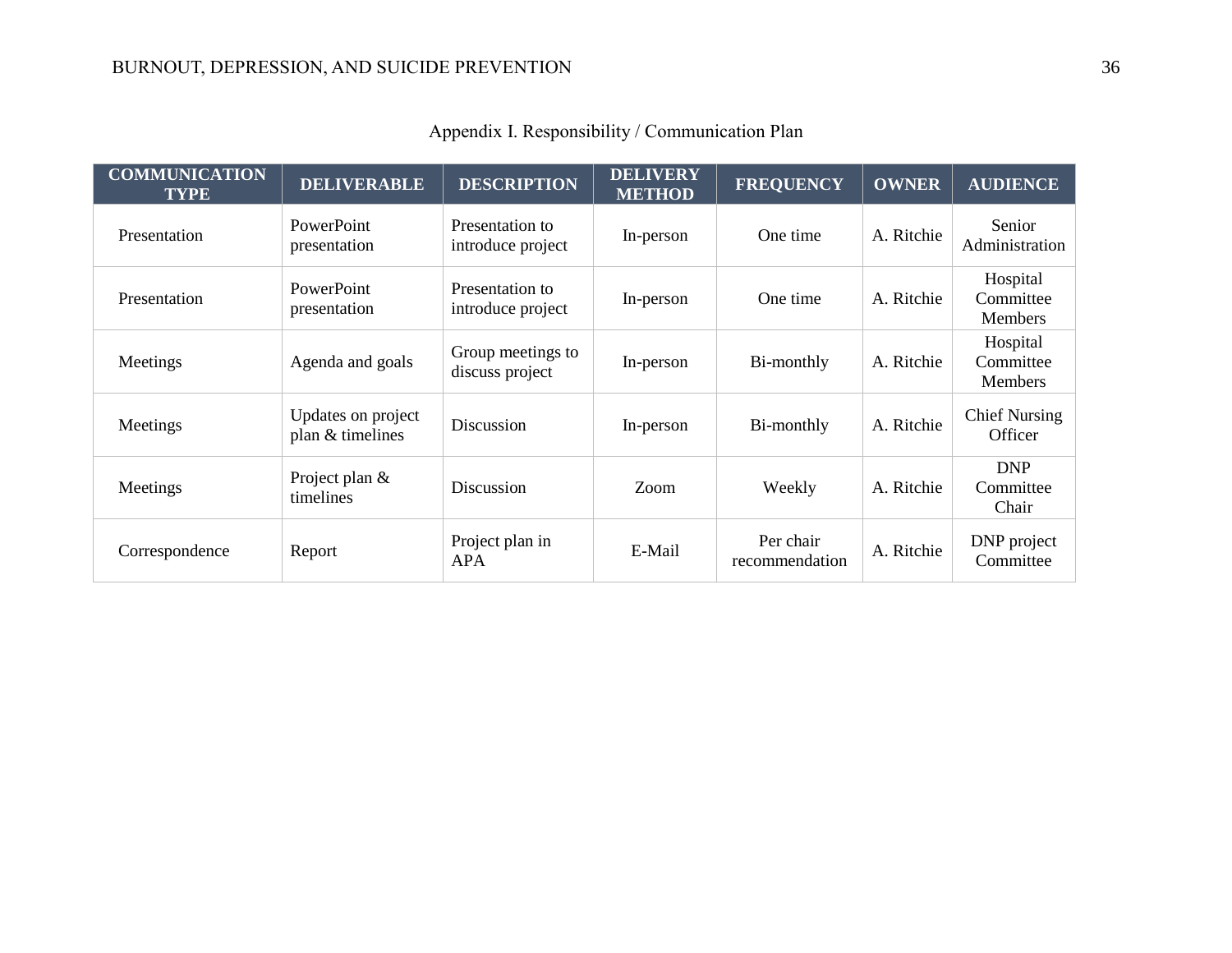| <b>COMMUNICATION</b><br><b>TYPE</b> | <b>DELIVERABLE</b>                     | <b>DESCRIPTION</b>                   | <b>DELIVERY</b><br><b>METHOD</b> | <b>FREQUENCY</b>            | <b>OWNER</b> | <b>AUDIENCE</b>                         |
|-------------------------------------|----------------------------------------|--------------------------------------|----------------------------------|-----------------------------|--------------|-----------------------------------------|
| Presentation                        | PowerPoint<br>presentation             | Presentation to<br>introduce project | In-person                        | One time                    | A. Ritchie   | Senior<br>Administration                |
| Presentation                        | PowerPoint<br>presentation             | Presentation to<br>introduce project | In-person                        | One time                    | A. Ritchie   | Hospital<br>Committee<br>Members        |
| Meetings                            | Agenda and goals                       | Group meetings to<br>discuss project | In-person                        | Bi-monthly                  | A. Ritchie   | Hospital<br>Committee<br><b>Members</b> |
| Meetings                            | Updates on project<br>plan & timelines | Discussion                           | In-person                        | Bi-monthly                  | A. Ritchie   | <b>Chief Nursing</b><br>Officer         |
| Meetings                            | Project plan &<br>timelines            | Discussion                           | Zoom                             | Weekly                      | A. Ritchie   | <b>DNP</b><br>Committee<br>Chair        |
| Correspondence                      | Report                                 | Project plan in<br>APA               | E-Mail                           | Per chair<br>recommendation | A. Ritchie   | DNP project<br>Committee                |

Appendix I. Responsibility / Communication Plan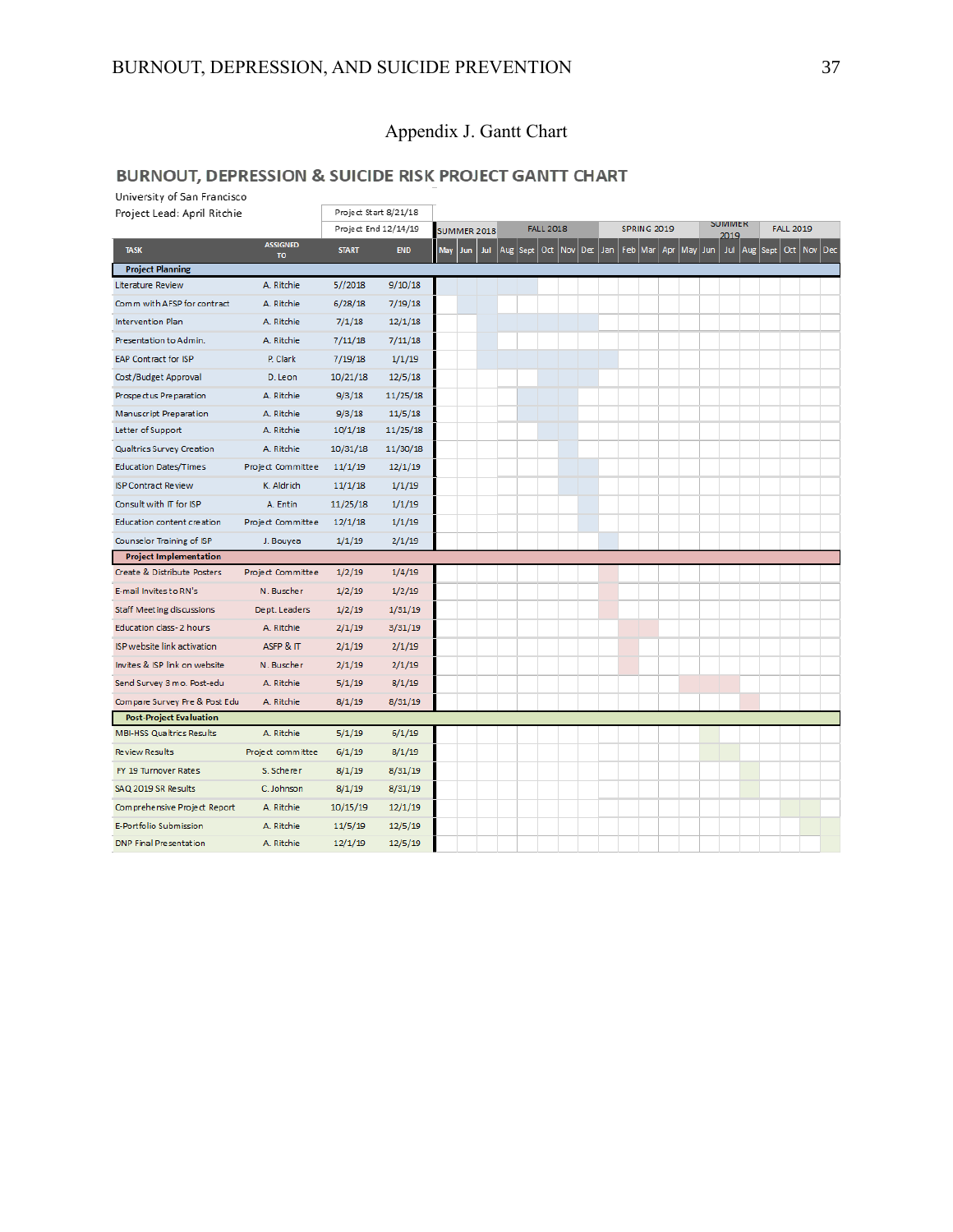### Appendix J. Gantt Chart

### **BURNOUT, DEPRESSION & SUICIDE RISK PROJECT GANTT CHART**

University of San Francisco Project Start 8/21/18 Project Lead: April Ritchie **FALL 2018** SPRING 2019 **SUIVIMER FALL 2019** Project End 12/14/19 SUMMER 2018 ASSIGNED TASK Jul Aug Sept Oct Nov Dec Jan Feb Mar Apr May Jun Jul Aug Sept Oct Nov Dec **START** END May Lun  $\frac{1}{10}$ **Project Planning**  $5//2018$ Literature Review A. Ritchie  $9/10/18$ Comm with AFSP for contract A. Ritchie  $6/28/18$  $7/19/18$ Intervention Plan A. Ritchie  $7/1/18$  $12/1/18$ Presentation to Admin. A. Ritchie  $7/11/18$  $7/11/18$ EAP Contract for ISP P. Clark  $7/19/18$  $1/1/19$ Cost/Budget Approval D. Leon  $10/21/18$  $12/5/18$  $9/3/18$ Prospectus Preparation A. Ritchie  $11/25/18$ Manuscript Preparation A. Ritchie  $9/3/18$  $11/5/18$ Letter of Support A. Ritchie  $10/1/18$  $11/25/18$ Qualtrics Survey Creation A. Ritchie  $10/31/18$  $11/30/18$ **Education Dates/Times** Project Committee  $11/1/19$  $12/1/19$ **ISP Contract Review** K. Aldrich  $11/1/18$  $1/1/19$ Consult with IT for ISP A. Entin  $11/25/18$  $1/1/19$ Education content creation Project Committee  $12/1/18$  $1/1/19$  $1/1/19$ Counselor Training of ISP J. Bouvea  $2/1/19$ **Project Implementation** Create & Distribute Posters Project Committee  $1/2/19$  $1/4/19$ E-mail Invites to RN's N. Buscher  $1/2/19$  $1/2/19$ **Staff Meeting discussions**  $1/2/19$  $1/31/19$ Dept. Leaders Education class-2 hours A. Ritchie  $2/1/19$  $3/31/19$ ISP website link activation ASFP & IT  $2/1/19$  $2/1/19$ Invites & ISP link on website N. Buscher  $2/1/19$  $2/1/19$ Send Survey 3 mo. Post-edu A. Ritchie  $5/1/19$  $8/1/19$ Compare Survey Pre & Post Edu A. Ritchie  $8/1/19$  $8/31/19$ **Post-Project Evaluation MBI-HSS Qualtrics Results** A. Ritchie  $5/1/19$  $6/1/19$ **Review Results** Project committee  $6/1/19$  $8/1/19$ FY 19 Turnover Rates  $8/1/19$  $8/31/19$ S. Scherer SAQ 2019 SR Results C. Johnson  $8/1/19$  $8/31/19$ Comprehensive Project Report A. Ritchie  $10/15/19$  $12/1/19$ E-Portfolio Submission A. Ritchie  $11/5/19$  $12/5/19$ **DNP Final Presentation** A. Ritchie  $12/1/19$  $12/5/19$